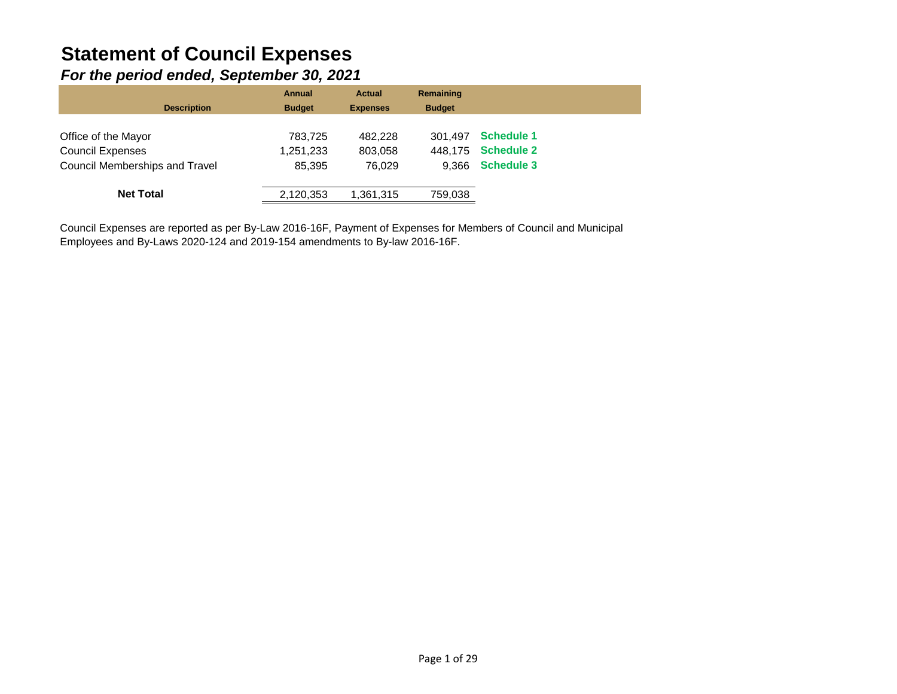# **Statement of Council Expenses**

### *For the period ended, September 30, 2021*

| <b>Description</b>             | <b>Annual</b><br><b>Budget</b> | <b>Actual</b><br><b>Expenses</b> | Remaining<br><b>Budget</b> |                   |
|--------------------------------|--------------------------------|----------------------------------|----------------------------|-------------------|
| Office of the Mayor            | 783,725                        | 482.228                          | 301.497                    | <b>Schedule 1</b> |
| <b>Council Expenses</b>        | 1,251,233                      | 803,058                          | 448.175                    | <b>Schedule 2</b> |
| Council Memberships and Travel | 85.395                         | 76.029                           | 9.366                      | <b>Schedule 3</b> |
| <b>Net Total</b>               | 2,120,353                      | 1,361,315                        | 759,038                    |                   |

Council Expenses are reported as per By-Law 2016-16F, Payment of Expenses for Members of Council and Municipal Employees and By-Laws 2020-124 and 2019-154 amendments to By-law 2016-16F.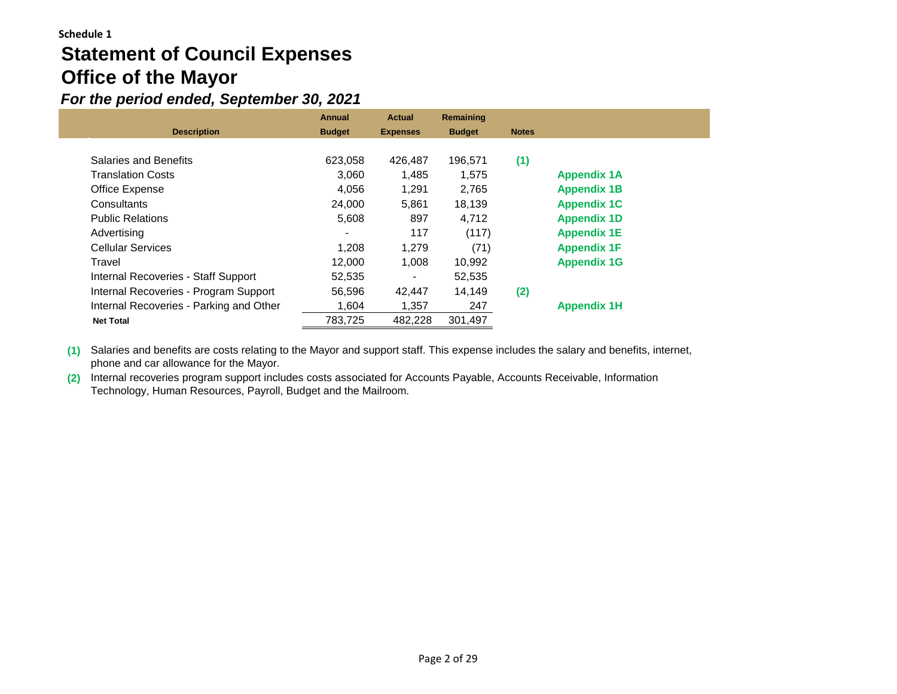# **Statement of Council Expenses Office of the Mayor**

## *For the period ended, September 30, 2021*

|                                         | <b>Annual</b> | <b>Actual</b>   | Remaining     |              |                    |  |
|-----------------------------------------|---------------|-----------------|---------------|--------------|--------------------|--|
| <b>Description</b>                      | <b>Budget</b> | <b>Expenses</b> | <b>Budget</b> | <b>Notes</b> |                    |  |
|                                         |               |                 |               |              |                    |  |
| Salaries and Benefits                   | 623,058       | 426,487         | 196.571       | (1)          |                    |  |
| Translation Costs                       | 3.060         | 1,485           | 1,575         |              | <b>Appendix 1A</b> |  |
| Office Expense                          | 4.056         | 1,291           | 2,765         |              | <b>Appendix 1B</b> |  |
| Consultants                             | 24.000        | 5,861           | 18,139        |              | <b>Appendix 1C</b> |  |
| <b>Public Relations</b>                 | 5,608         | 897             | 4,712         |              | <b>Appendix 1D</b> |  |
| Advertising                             |               | 117             | (117)         |              | <b>Appendix 1E</b> |  |
| <b>Cellular Services</b>                | 1.208         | 1,279           | (71)          |              | <b>Appendix 1F</b> |  |
| Travel                                  | 12.000        | 1.008           | 10,992        |              | <b>Appendix 1G</b> |  |
| Internal Recoveries - Staff Support     | 52,535        |                 | 52,535        |              |                    |  |
| Internal Recoveries - Program Support   | 56,596        | 42,447          | 14,149        | (2)          |                    |  |
| Internal Recoveries - Parking and Other | 1,604         | 1,357           | 247           |              | <b>Appendix 1H</b> |  |
| <b>Net Total</b>                        | 783,725       | 482,228         | 301,497       |              |                    |  |

**(1)** Salaries and benefits are costs relating to the Mayor and support staff. This expense includes the salary and benefits, internet, phone and car allowance for the Mayor.

**(2)** Internal recoveries program support includes costs associated for Accounts Payable, Accounts Receivable, Information Technology, Human Resources, Payroll, Budget and the Mailroom.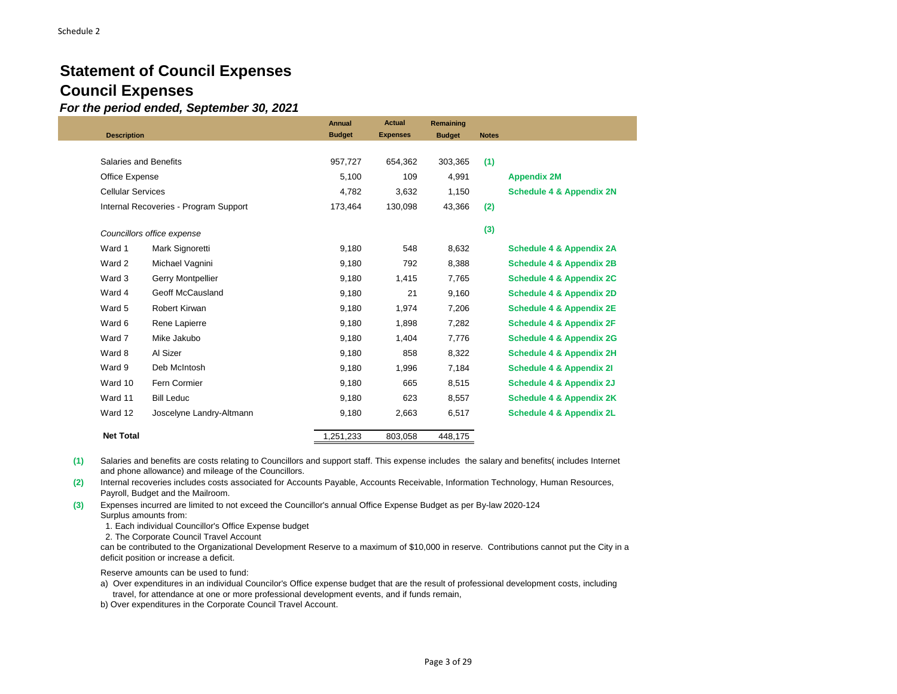## **Statement of Council Expenses Council Expenses**

*For the period ended, September 30, 2021*

|                          |                                       | <b>Annual</b> | <b>Actual</b>   | Remaining     |              |                                     |
|--------------------------|---------------------------------------|---------------|-----------------|---------------|--------------|-------------------------------------|
| <b>Description</b>       |                                       | <b>Budget</b> | <b>Expenses</b> | <b>Budget</b> | <b>Notes</b> |                                     |
|                          |                                       |               |                 |               |              |                                     |
| Salaries and Benefits    |                                       | 957,727       | 654,362         | 303,365       | (1)          |                                     |
| Office Expense           |                                       | 5,100         | 109             | 4,991         |              | <b>Appendix 2M</b>                  |
| <b>Cellular Services</b> |                                       | 4,782         | 3,632           | 1,150         |              | <b>Schedule 4 &amp; Appendix 2N</b> |
|                          | Internal Recoveries - Program Support | 173,464       | 130,098         | 43,366        | (2)          |                                     |
|                          |                                       |               |                 |               |              |                                     |
|                          | Councillors office expense            |               |                 |               | (3)          |                                     |
| Ward 1                   | Mark Signoretti                       | 9,180         | 548             | 8,632         |              | <b>Schedule 4 &amp; Appendix 2A</b> |
| Ward 2                   | Michael Vagnini                       | 9,180         | 792             | 8,388         |              | <b>Schedule 4 &amp; Appendix 2B</b> |
| Ward 3                   | <b>Gerry Montpellier</b>              | 9,180         | 1,415           | 7,765         |              | <b>Schedule 4 &amp; Appendix 2C</b> |
| Ward 4                   | Geoff McCausland                      | 9,180         | 21              | 9,160         |              | <b>Schedule 4 &amp; Appendix 2D</b> |
| Ward 5                   | Robert Kirwan                         | 9,180         | 1,974           | 7,206         |              | <b>Schedule 4 &amp; Appendix 2E</b> |
| Ward 6                   | Rene Lapierre                         | 9,180         | 1,898           | 7,282         |              | <b>Schedule 4 &amp; Appendix 2F</b> |
| Ward 7                   | Mike Jakubo                           | 9,180         | 1,404           | 7,776         |              | <b>Schedule 4 &amp; Appendix 2G</b> |
| Ward 8                   | Al Sizer                              | 9,180         | 858             | 8,322         |              | <b>Schedule 4 &amp; Appendix 2H</b> |
| Ward 9                   | Deb McIntosh                          | 9,180         | 1,996           | 7,184         |              | Schedule 4 & Appendix 21            |
| Ward 10                  | Fern Cormier                          | 9,180         | 665             | 8,515         |              | Schedule 4 & Appendix 2J            |
| Ward 11                  | <b>Bill Leduc</b>                     | 9,180         | 623             | 8,557         |              | Schedule 4 & Appendix 2K            |
| Ward 12                  | Joscelyne Landry-Altmann              | 9,180         | 2,663           | 6,517         |              | <b>Schedule 4 &amp; Appendix 2L</b> |
| <b>Net Total</b>         |                                       | 1,251,233     | 803.058         | 448.175       |              |                                     |

**(1)** Salaries and benefits are costs relating to Councillors and support staff. This expense includes the salary and benefits( includes Internet and phone allowance) and mileage of the Councillors.

**(2)** Internal recoveries includes costs associated for Accounts Payable, Accounts Receivable, Information Technology, Human Resources, Payroll, Budget and the Mailroom.

**(3)** Expenses incurred are limited to not exceed the Councillor's annual Office Expense Budget as per By-law 2020-124 Surplus amounts from:

1. Each individual Councillor's Office Expense budget

2. The Corporate Council Travel Account

can be contributed to the Organizational Development Reserve to a maximum of \$10,000 in reserve. Contributions cannot put the City in a deficit position or increase a deficit.

Reserve amounts can be used to fund:

a) Over expenditures in an individual Councilor's Office expense budget that are the result of professional development costs, including travel, for attendance at one or more professional development events, and if funds remain,

b) Over expenditures in the Corporate Council Travel Account.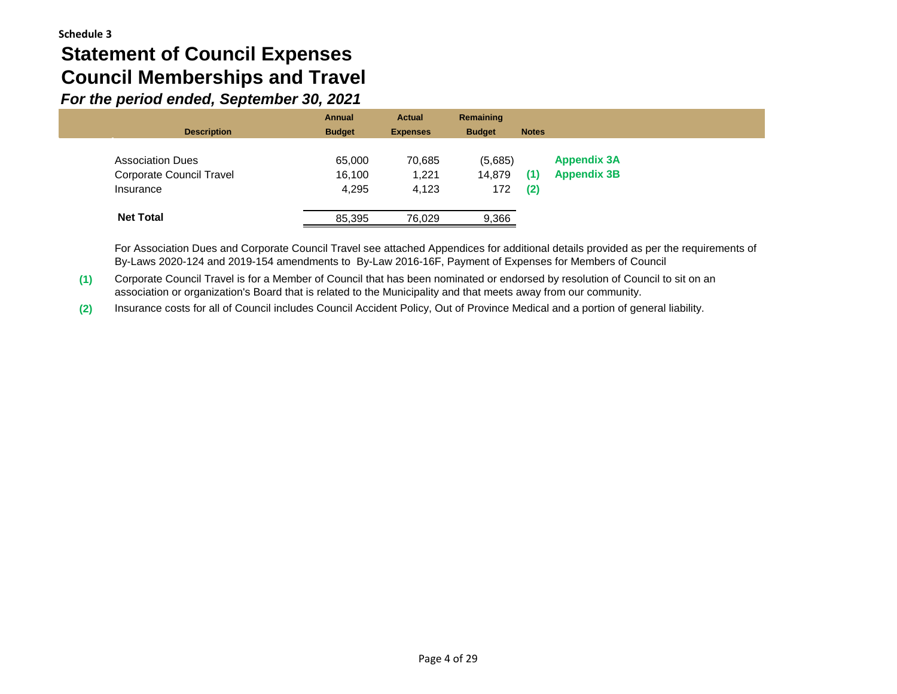# **Statement of Council Expenses Council Memberships and Travel**

*For the period ended, September 30, 2021*

| <b>Description</b>                           | <b>Annual</b><br><b>Budget</b> | <b>Actual</b><br><b>Expenses</b> | Remaining<br><b>Budget</b> | <b>Notes</b> |                    |
|----------------------------------------------|--------------------------------|----------------------------------|----------------------------|--------------|--------------------|
| <b>Association Dues</b>                      | 65,000                         | 70,685                           | (5,685)                    |              | <b>Appendix 3A</b> |
| <b>Corporate Council Travel</b><br>Insurance | 16,100<br>4,295                | 1,221<br>4,123                   | 14,879<br>172              | (1)<br>(2)   | <b>Appendix 3B</b> |
| <b>Net Total</b>                             | 85,395                         | 76.029                           | 9,366                      |              |                    |

For Association Dues and Corporate Council Travel see attached Appendices for additional details provided as per the requirements of By-Laws 2020-124 and 2019-154 amendments to By-Law 2016-16F, Payment of Expenses for Members of Council

**(1)** Corporate Council Travel is for a Member of Council that has been nominated or endorsed by resolution of Council to sit on an association or organization's Board that is related to the Municipality and that meets away from our community.

**(2)** Insurance costs for all of Council includes Council Accident Policy, Out of Province Medical and a portion of general liability.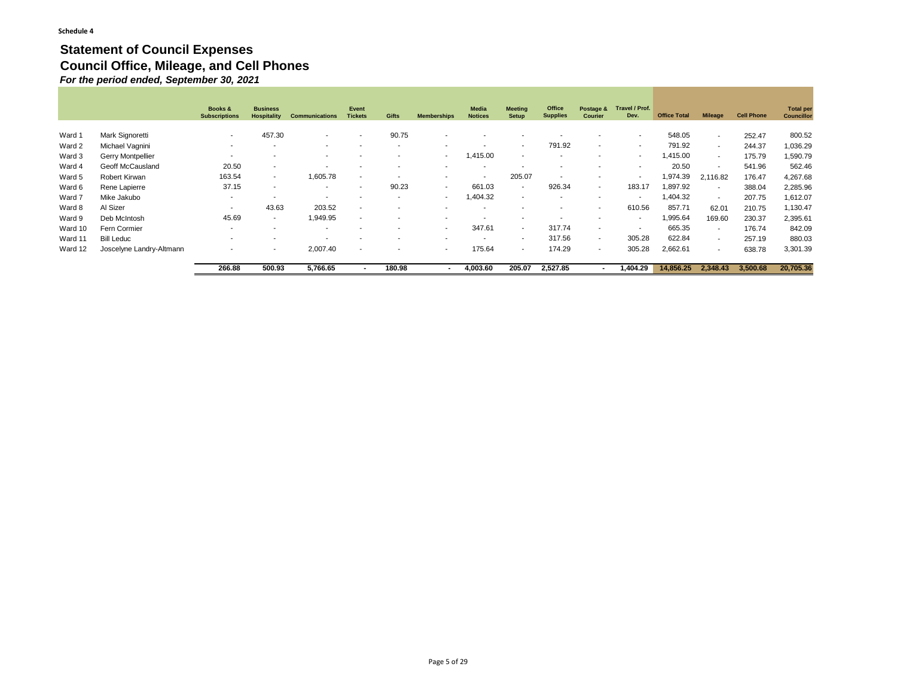#### **Statement of Council Expenses Council Office, Mileage, and Cell Phones** *For the period ended, September 30, 2021*

|         |                          | Books &<br><b>Subscriptions</b> | <b>Business</b><br>Hospitality | <b>Communications</b>    | Event<br><b>Tickets</b>  | <b>Gifts</b>             | <b>Memberships</b>       | Media<br><b>Notices</b>  | <b>Meeting</b><br><b>Setup</b> | Office<br><b>Supplies</b> | Postage &<br><b>Courier</b> | Travel / Prof.<br>Dev.   | <b>Office Total</b> | <b>Mileage</b>           | <b>Cell Phone</b> | <b>Total per</b><br><b>Councillor</b> |
|---------|--------------------------|---------------------------------|--------------------------------|--------------------------|--------------------------|--------------------------|--------------------------|--------------------------|--------------------------------|---------------------------|-----------------------------|--------------------------|---------------------|--------------------------|-------------------|---------------------------------------|
| Ward 1  | Mark Signoretti          | ٠                               | 457.30                         | $\overline{\phantom{a}}$ | $\sim$                   | 90.75                    |                          |                          |                                |                           |                             | $\overline{\phantom{a}}$ | 548.05              | $\sim$                   | 252.47            | 800.52                                |
| Ward 2  | Michael Vagnini          | $\overline{\phantom{a}}$        |                                | $\overline{\phantom{a}}$ |                          | $\sim$                   | $\overline{\phantom{a}}$ |                          | $\overline{\phantom{0}}$       | 791.92                    | $\sim$                      | $\overline{\phantom{a}}$ | 791.92              | $\sim$                   | 244.37            | 1,036.29                              |
| Ward 3  | Gerry Montpellier        | $\overline{\phantom{a}}$        |                                | $\overline{\phantom{a}}$ |                          |                          | $\overline{\phantom{a}}$ | 415.00                   | $\overline{\phantom{a}}$       | . .                       | $\overline{\phantom{a}}$    | $\overline{\phantom{a}}$ | 1,415.00            | $\sim$                   | 175.79            | 1,590.79                              |
| Ward 4  | Geoff McCausland         | 20.50                           | $\overline{\phantom{0}}$       | $\overline{\phantom{a}}$ | $\sim$                   | $\overline{\phantom{a}}$ | $\overline{\phantom{a}}$ | $\blacksquare$           | $\overline{\phantom{a}}$       | $\overline{\phantom{0}}$  | $\sim$                      | $\overline{\phantom{a}}$ | 20.50               | $\overline{\phantom{a}}$ | 541.96            | 562.46                                |
| Ward 5  | Robert Kirwan            | 163.54                          | $\overline{\phantom{a}}$       | 1,605.78                 | $\sim$                   | $\sim$                   | $\overline{\phantom{a}}$ | $\blacksquare$           | 205.07                         | $\overline{\phantom{0}}$  | $\overline{\phantom{0}}$    | $\overline{\phantom{a}}$ | 1,974.39            | 2,116.82                 | 176.47            | 4,267.68                              |
| Ward 6  | Rene Lapierre            | 37.15                           | $\sim$                         | $\overline{\phantom{0}}$ |                          | 90.23                    | $\overline{\phantom{a}}$ | 661.03                   | $\overline{\phantom{a}}$       | 926.34                    | $\overline{\phantom{a}}$    | 183.17                   | 1,897.92            | $\sim$                   | 388.04            | 2,285.96                              |
| Ward 7  | Mike Jakubo              | $\overline{\phantom{a}}$        |                                | $\overline{\phantom{a}}$ | $\overline{\phantom{a}}$ | $\overline{\phantom{a}}$ | $\overline{\phantom{a}}$ | 404.32                   | $\overline{\phantom{a}}$       | $\sim$                    | $\sim$                      | $\overline{\phantom{a}}$ | 1,404.32            | $\overline{\phantom{a}}$ | 207.75            | 1,612.07                              |
| Ward 8  | Al Sizer                 | $\overline{\phantom{a}}$        | 43.63                          | 203.52                   | $\sim$                   |                          |                          | $\overline{\phantom{a}}$ |                                |                           | $\overline{\phantom{0}}$    | 610.56                   | 857.71              | 62.01                    | 210.75            | 1,130.47                              |
| Ward 9  | Deb McIntosh             | 45.69                           | $\overline{\phantom{a}}$       | 1,949.95                 | $\sim$                   |                          |                          |                          |                                |                           | $\sim$                      | $\overline{\phantom{a}}$ | 995.64              | 169.60                   | 230.37            | 2,395.61                              |
| Ward 10 | Fern Cormier             | $\overline{\phantom{0}}$        | $\sim$                         | $\overline{\phantom{a}}$ |                          |                          | -                        | 347.61                   | $\sim$                         | 317.74                    | $\overline{\phantom{a}}$    | $\overline{\phantom{a}}$ | 665.35              | $\sim$                   | 176.74            | 842.09                                |
| Ward 11 | <b>Bill Leduc</b>        | ۰.                              | -                              | $\overline{\phantom{a}}$ |                          |                          | $\overline{\phantom{a}}$ | $\overline{\phantom{a}}$ | $\blacksquare$                 | 317.56                    | $\overline{\phantom{a}}$    | 305.28                   | 622.84              | $\sim$                   | 257.19            | 880.03                                |
| Ward 12 | Joscelyne Landry-Altmann | $\overline{\phantom{a}}$        | $\overline{\phantom{a}}$       | 2.007.40                 | $\sim$                   | $\sim$                   | $\overline{\phantom{a}}$ | 175.64                   | $\blacksquare$                 | 174.29                    | $\sim$                      | 305.28                   | 2,662.61            | $\sim$                   | 638.78            | 3,301.39                              |
|         |                          | 266.88                          | 500.93                         | 5,766.65                 |                          | 180.98                   | $\blacksquare$           | 4,003.60                 | 205.07                         | 2,527.85                  |                             | 1,404.29                 | 14.856.25           | 2,348.43                 | 3.500.68          | 20,705.36                             |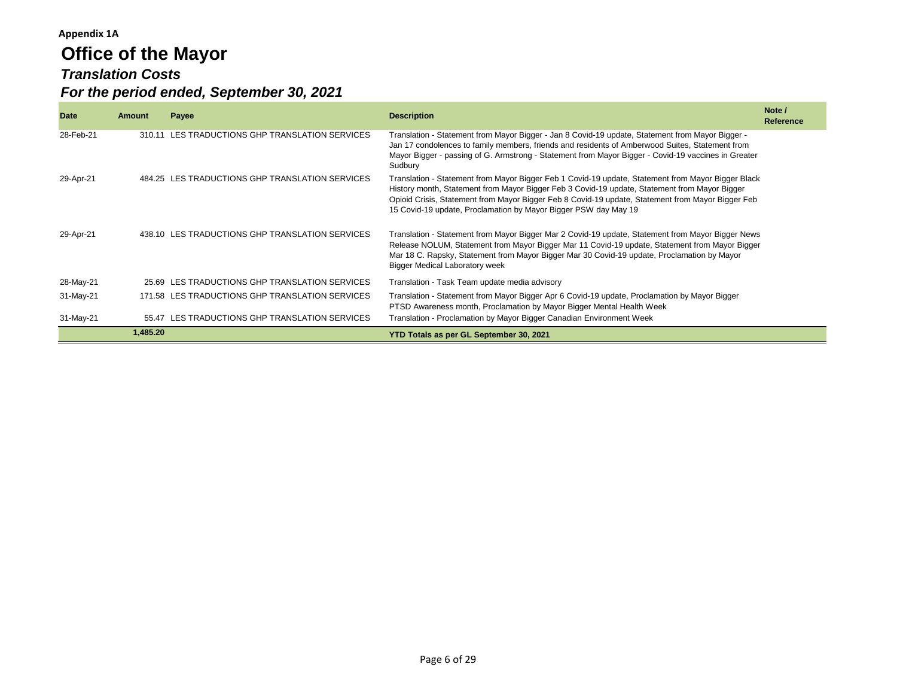# **Office of the Mayor** *Translation Costs For the period ended, September 30, 2021*

| <b>Date</b> | Amount   | Payee                                           | <b>Description</b>                                                                                                                                                                                                                                                                                                                                                          | Note /<br>Reference |
|-------------|----------|-------------------------------------------------|-----------------------------------------------------------------------------------------------------------------------------------------------------------------------------------------------------------------------------------------------------------------------------------------------------------------------------------------------------------------------------|---------------------|
| 28-Feb-21   | 310.11   | LES TRADUCTIONS GHP TRANSLATION SERVICES        | Translation - Statement from Mayor Bigger - Jan 8 Covid-19 update, Statement from Mayor Bigger -<br>Jan 17 condolences to family members, friends and residents of Amberwood Suites, Statement from<br>Mayor Bigger - passing of G. Armstrong - Statement from Mayor Bigger - Covid-19 vaccines in Greater<br>Sudbury                                                       |                     |
| 29-Apr-21   |          | 484.25 LES TRADUCTIONS GHP TRANSLATION SERVICES | Translation - Statement from Mayor Bigger Feb 1 Covid-19 update, Statement from Mayor Bigger Black<br>History month, Statement from Mayor Bigger Feb 3 Covid-19 update, Statement from Mayor Bigger<br>Opioid Crisis, Statement from Mayor Bigger Feb 8 Covid-19 update, Statement from Mayor Bigger Feb<br>15 Covid-19 update, Proclamation by Mayor Bigger PSW day May 19 |                     |
| 29-Apr-21   |          | 438.10 LES TRADUCTIONS GHP TRANSLATION SERVICES | Translation - Statement from Mayor Bigger Mar 2 Covid-19 update, Statement from Mayor Bigger News<br>Release NOLUM, Statement from Mayor Bigger Mar 11 Covid-19 update, Statement from Mayor Bigger<br>Mar 18 C. Rapsky, Statement from Mayor Bigger Mar 30 Covid-19 update, Proclamation by Mayor<br><b>Bigger Medical Laboratory week</b>                                 |                     |
| 28-May-21   |          | 25.69 LES TRADUCTIONS GHP TRANSLATION SERVICES  | Translation - Task Team update media advisory                                                                                                                                                                                                                                                                                                                               |                     |
| 31-May-21   |          | 171.58 LES TRADUCTIONS GHP TRANSLATION SERVICES | Translation - Statement from Mayor Bigger Apr 6 Covid-19 update, Proclamation by Mayor Bigger<br>PTSD Awareness month, Proclamation by Mayor Bigger Mental Health Week                                                                                                                                                                                                      |                     |
| 31-May-21   |          | 55.47 LES TRADUCTIONS GHP TRANSLATION SERVICES  | Translation - Proclamation by Mayor Bigger Canadian Environment Week                                                                                                                                                                                                                                                                                                        |                     |
|             | 1,485.20 |                                                 | YTD Totals as per GL September 30, 2021                                                                                                                                                                                                                                                                                                                                     |                     |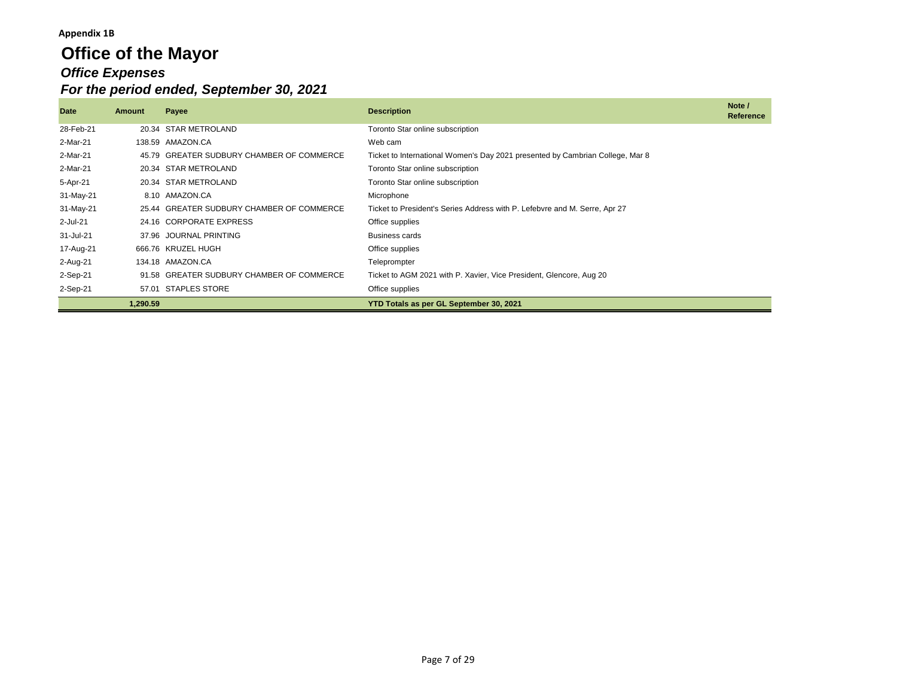## **Office of the Mayor** *Office Expenses For the period ended, September 30, 2021*

| Date        | Amount   | Payee                                     | <b>Description</b>                                                            | Note /<br>Reference |
|-------------|----------|-------------------------------------------|-------------------------------------------------------------------------------|---------------------|
| 28-Feb-21   |          | 20.34 STAR METROLAND                      | Toronto Star online subscription                                              |                     |
| 2-Mar-21    |          | 138.59 AMAZON.CA                          | Web cam                                                                       |                     |
| 2-Mar-21    |          | 45.79 GREATER SUDBURY CHAMBER OF COMMERCE | Ticket to International Women's Day 2021 presented by Cambrian College, Mar 8 |                     |
| 2-Mar-21    |          | 20.34 STAR METROLAND                      | Toronto Star online subscription                                              |                     |
| 5-Apr-21    |          | 20.34 STAR METROLAND                      | Toronto Star online subscription                                              |                     |
| 31-May-21   |          | 8.10 AMAZON.CA                            | Microphone                                                                    |                     |
| 31-May-21   |          | 25.44 GREATER SUDBURY CHAMBER OF COMMERCE | Ticket to President's Series Address with P. Lefebvre and M. Serre, Apr 27    |                     |
| $2$ -Jul-21 |          | 24.16 CORPORATE EXPRESS                   | Office supplies                                                               |                     |
| 31-Jul-21   |          | 37.96 JOURNAL PRINTING                    | <b>Business cards</b>                                                         |                     |
| 17-Aug-21   |          | 666.76 KRUZEL HUGH                        | Office supplies                                                               |                     |
| 2-Aug-21    |          | 134.18 AMAZON.CA                          | Teleprompter                                                                  |                     |
| 2-Sep-21    |          | 91.58 GREATER SUDBURY CHAMBER OF COMMERCE | Ticket to AGM 2021 with P. Xavier, Vice President, Glencore, Aug 20           |                     |
| 2-Sep-21    | 57.01    | <b>STAPLES STORE</b>                      | Office supplies                                                               |                     |
|             | 1,290.59 |                                           | YTD Totals as per GL September 30, 2021                                       |                     |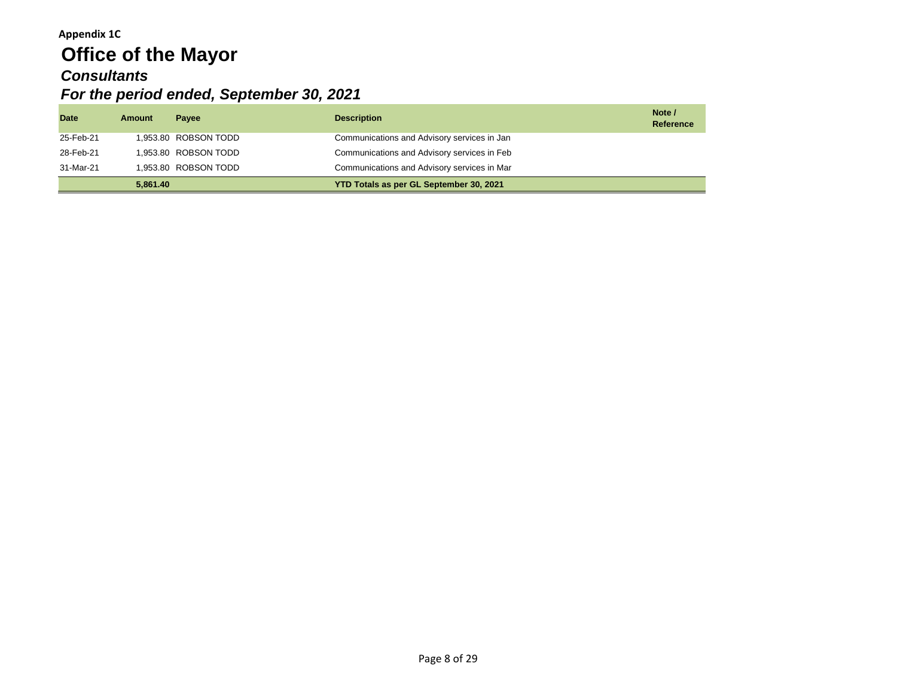## **Appendix 1C Office of the Mayor** *Consultants For the period ended, September 30, 2021*

| <b>Date</b> | <b>Amount</b> | <b>Pavee</b>         | <b>Description</b>                          | Note /<br>Reference |
|-------------|---------------|----------------------|---------------------------------------------|---------------------|
| 25-Feb-21   |               | 1,953.80 ROBSON TODD | Communications and Advisory services in Jan |                     |
| 28-Feb-21   |               | 1.953.80 ROBSON TODD | Communications and Advisory services in Feb |                     |
| 31-Mar-21   |               | 1.953.80 ROBSON TODD | Communications and Advisory services in Mar |                     |
|             | 5.861.40      |                      | YTD Totals as per GL September 30, 2021     |                     |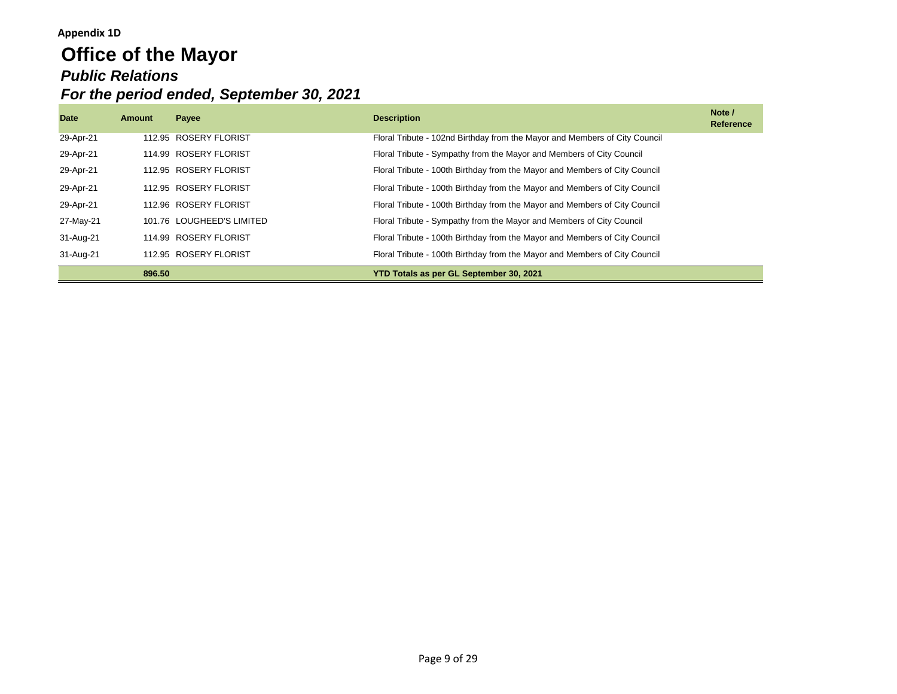### **Appendix 1D**

# **Office of the Mayor** *Public Relations For the period ended, September 30, 2021*

| <b>Date</b> | Amount | Payee                     | <b>Description</b>                                                         | Note /<br><b>Reference</b> |
|-------------|--------|---------------------------|----------------------------------------------------------------------------|----------------------------|
| 29-Apr-21   |        | 112.95 ROSERY FLORIST     | Floral Tribute - 102nd Birthday from the Mayor and Members of City Council |                            |
| 29-Apr-21   |        | 114.99 ROSERY FLORIST     | Floral Tribute - Sympathy from the Mayor and Members of City Council       |                            |
| 29-Apr-21   |        | 112.95 ROSERY FLORIST     | Floral Tribute - 100th Birthday from the Mayor and Members of City Council |                            |
| 29-Apr-21   |        | 112.95 ROSERY FLORIST     | Floral Tribute - 100th Birthday from the Mayor and Members of City Council |                            |
| 29-Apr-21   |        | 112.96 ROSERY FLORIST     | Floral Tribute - 100th Birthday from the Mayor and Members of City Council |                            |
| 27-May-21   |        | 101.76 LOUGHEED'S LIMITED | Floral Tribute - Sympathy from the Mayor and Members of City Council       |                            |
| 31-Aug-21   |        | 114.99 ROSERY FLORIST     | Floral Tribute - 100th Birthday from the Mayor and Members of City Council |                            |
| 31-Aug-21   |        | 112.95 ROSERY FLORIST     | Floral Tribute - 100th Birthday from the Mayor and Members of City Council |                            |
|             | 896.50 |                           | YTD Totals as per GL September 30, 2021                                    |                            |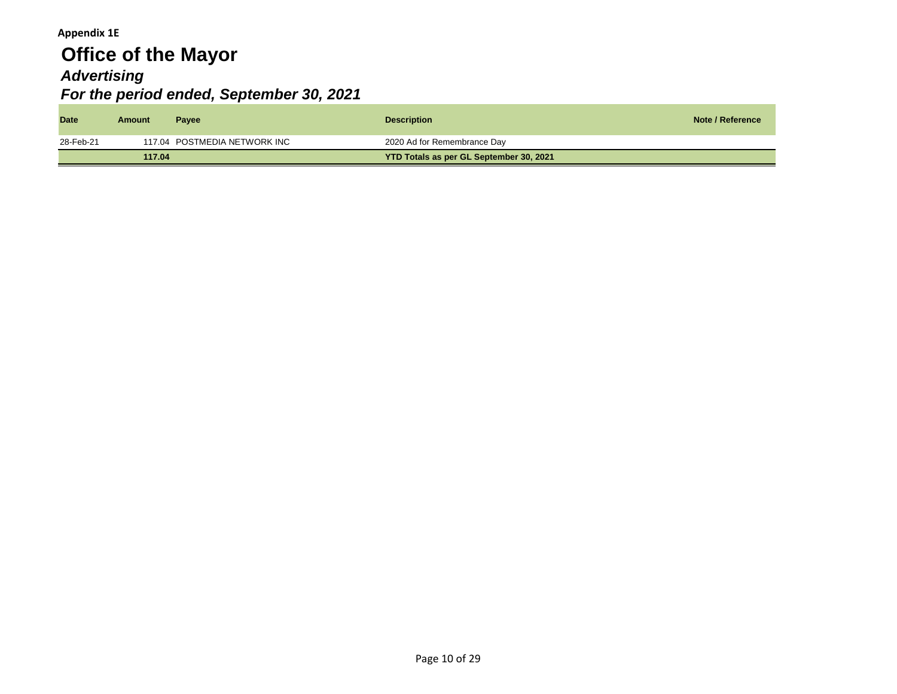### **Appendix 1E**

# **Office of the Mayor** *Advertising For the period ended, September 30, 2021*

| <b>Date</b> | Amount | <b>Payee</b>                 | <b>Description</b>                      | Note / Reference |
|-------------|--------|------------------------------|-----------------------------------------|------------------|
| 28-Feb-21   |        | 117.04 POSTMEDIA NETWORK INC | 2020 Ad for Remembrance Day             |                  |
|             | 117.04 |                              | YTD Totals as per GL September 30, 2021 |                  |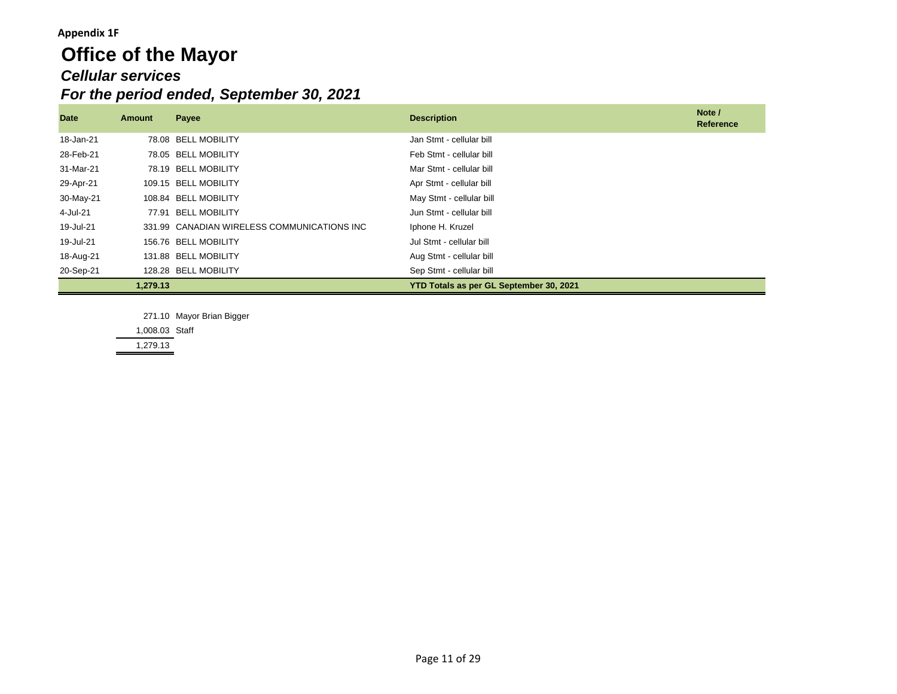#### **Appendix 1F**

## **Office of the Mayor** *Cellular services For the period ended, September 30, 2021*

| Date      | <b>Amount</b> | Payee                                       | <b>Description</b>                      | Note /<br>Reference |
|-----------|---------------|---------------------------------------------|-----------------------------------------|---------------------|
| 18-Jan-21 |               | 78.08 BELL MOBILITY                         | Jan Stmt - cellular bill                |                     |
| 28-Feb-21 |               | 78.05 BELL MOBILITY                         | Feb Stmt - cellular bill                |                     |
| 31-Mar-21 |               | 78.19 BELL MOBILITY                         | Mar Stmt - cellular bill                |                     |
| 29-Apr-21 |               | 109.15 BELL MOBILITY                        | Apr Stmt - cellular bill                |                     |
| 30-May-21 |               | 108.84 BELL MOBILITY                        | May Stmt - cellular bill                |                     |
| 4-Jul-21  |               | 77.91 BELL MOBILITY                         | Jun Stmt - cellular bill                |                     |
| 19-Jul-21 |               | 331.99 CANADIAN WIRELESS COMMUNICATIONS INC | Iphone H. Kruzel                        |                     |
| 19-Jul-21 |               | 156.76 BELL MOBILITY                        | Jul Stmt - cellular bill                |                     |
| 18-Aug-21 |               | 131.88 BELL MOBILITY                        | Aug Stmt - cellular bill                |                     |
| 20-Sep-21 |               | 128.28 BELL MOBILITY                        | Sep Stmt - cellular bill                |                     |
|           | 1,279.13      |                                             | YTD Totals as per GL September 30, 2021 |                     |

271.10 Mayor Brian Bigger

1,008.03 Staff

1,279.13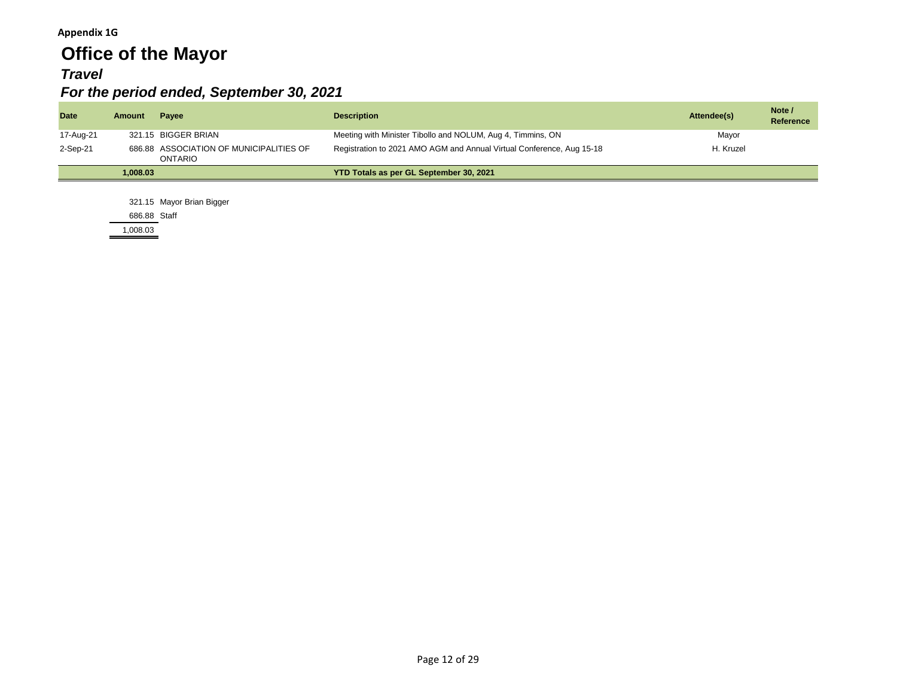#### **Appendix 1G**

# **Office of the Mayor**

### *Travel*

### *For the period ended, September 30, 2021*

| <b>Date</b> | Amount   | Pavee                                              | <b>Description</b>                                                    | Attendee(s) | Note /<br><b>Reference</b> |
|-------------|----------|----------------------------------------------------|-----------------------------------------------------------------------|-------------|----------------------------|
| 17-Aug-21   |          | 321.15 BIGGER BRIAN                                | Meeting with Minister Tibollo and NOLUM, Aug 4, Timmins, ON           | Mayor       |                            |
| 2-Sep-21    |          | 686.88 ASSOCIATION OF MUNICIPALITIES OF<br>ONTARIO | Registration to 2021 AMO AGM and Annual Virtual Conference, Aug 15-18 | H. Kruzel   |                            |
|             | 1.008.03 |                                                    | YTD Totals as per GL September 30, 2021                               |             |                            |

321.15 Mayor Brian Bigger

686.88 Staff

1,008.03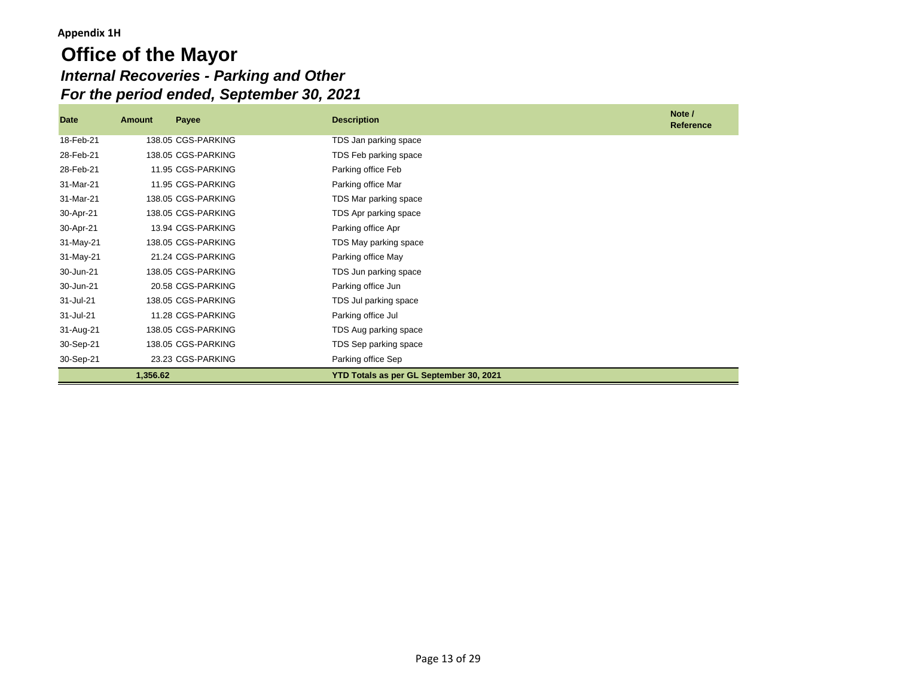## **Office of the Mayor** *Internal Recoveries - Parking and Other For the period ended, September 30, 2021*

| Date      | Amount   | Payee              | <b>Description</b>                      | Note /<br><b>Reference</b> |
|-----------|----------|--------------------|-----------------------------------------|----------------------------|
| 18-Feb-21 |          | 138.05 CGS-PARKING | TDS Jan parking space                   |                            |
| 28-Feb-21 |          | 138.05 CGS-PARKING | TDS Feb parking space                   |                            |
| 28-Feb-21 |          | 11.95 CGS-PARKING  | Parking office Feb                      |                            |
| 31-Mar-21 |          | 11.95 CGS-PARKING  | Parking office Mar                      |                            |
| 31-Mar-21 |          | 138.05 CGS-PARKING | TDS Mar parking space                   |                            |
| 30-Apr-21 |          | 138.05 CGS-PARKING | TDS Apr parking space                   |                            |
| 30-Apr-21 |          | 13.94 CGS-PARKING  | Parking office Apr                      |                            |
| 31-May-21 |          | 138.05 CGS-PARKING | TDS May parking space                   |                            |
| 31-May-21 |          | 21.24 CGS-PARKING  | Parking office May                      |                            |
| 30-Jun-21 |          | 138.05 CGS-PARKING | TDS Jun parking space                   |                            |
| 30-Jun-21 |          | 20.58 CGS-PARKING  | Parking office Jun                      |                            |
| 31-Jul-21 |          | 138.05 CGS-PARKING | TDS Jul parking space                   |                            |
| 31-Jul-21 |          | 11.28 CGS-PARKING  | Parking office Jul                      |                            |
| 31-Aug-21 |          | 138.05 CGS-PARKING | TDS Aug parking space                   |                            |
| 30-Sep-21 |          | 138.05 CGS-PARKING | TDS Sep parking space                   |                            |
| 30-Sep-21 |          | 23.23 CGS-PARKING  | Parking office Sep                      |                            |
|           | 1,356.62 |                    | YTD Totals as per GL September 30, 2021 |                            |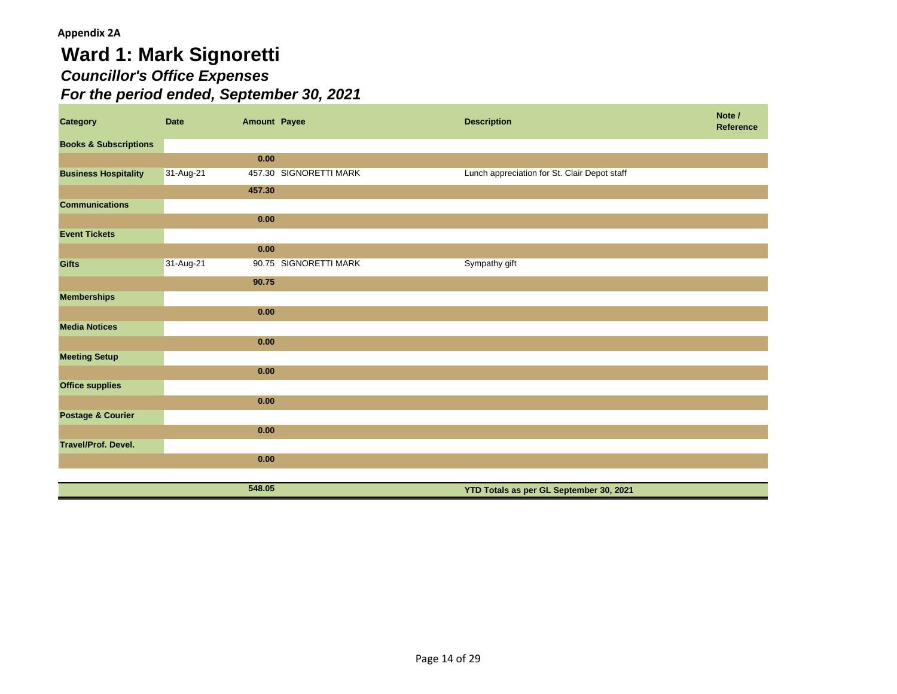# **Ward 1: Mark Signoretti** *Councillor's Office Expenses For the period ended, September 30, 2021*

| <b>Category</b>                  | Date      | <b>Amount Payee</b> |                        | <b>Description</b>                           | Note /<br>Reference |
|----------------------------------|-----------|---------------------|------------------------|----------------------------------------------|---------------------|
| <b>Books &amp; Subscriptions</b> |           |                     |                        |                                              |                     |
|                                  |           | 0.00                |                        |                                              |                     |
| <b>Business Hospitality</b>      | 31-Aug-21 |                     | 457.30 SIGNORETTI MARK | Lunch appreciation for St. Clair Depot staff |                     |
|                                  |           | 457.30              |                        |                                              |                     |
| <b>Communications</b>            |           |                     |                        |                                              |                     |
|                                  |           | 0.00                |                        |                                              |                     |
| <b>Event Tickets</b>             |           |                     |                        |                                              |                     |
|                                  |           | 0.00                |                        |                                              |                     |
| <b>Gifts</b>                     | 31-Aug-21 |                     | 90.75 SIGNORETTI MARK  | Sympathy gift                                |                     |
|                                  |           | 90.75               |                        |                                              |                     |
| <b>Memberships</b>               |           |                     |                        |                                              |                     |
|                                  |           | 0.00                |                        |                                              |                     |
| <b>Media Notices</b>             |           |                     |                        |                                              |                     |
|                                  |           | 0.00                |                        |                                              |                     |
| <b>Meeting Setup</b>             |           |                     |                        |                                              |                     |
|                                  |           | 0.00                |                        |                                              |                     |
| <b>Office supplies</b>           |           |                     |                        |                                              |                     |
|                                  |           | 0.00                |                        |                                              |                     |
| <b>Postage &amp; Courier</b>     |           |                     |                        |                                              |                     |
|                                  |           | 0.00                |                        |                                              |                     |
| Travel/Prof. Devel.              |           |                     |                        |                                              |                     |
|                                  |           | 0.00                |                        |                                              |                     |
|                                  |           | 548.05              |                        |                                              |                     |
|                                  |           |                     |                        | YTD Totals as per GL September 30, 2021      |                     |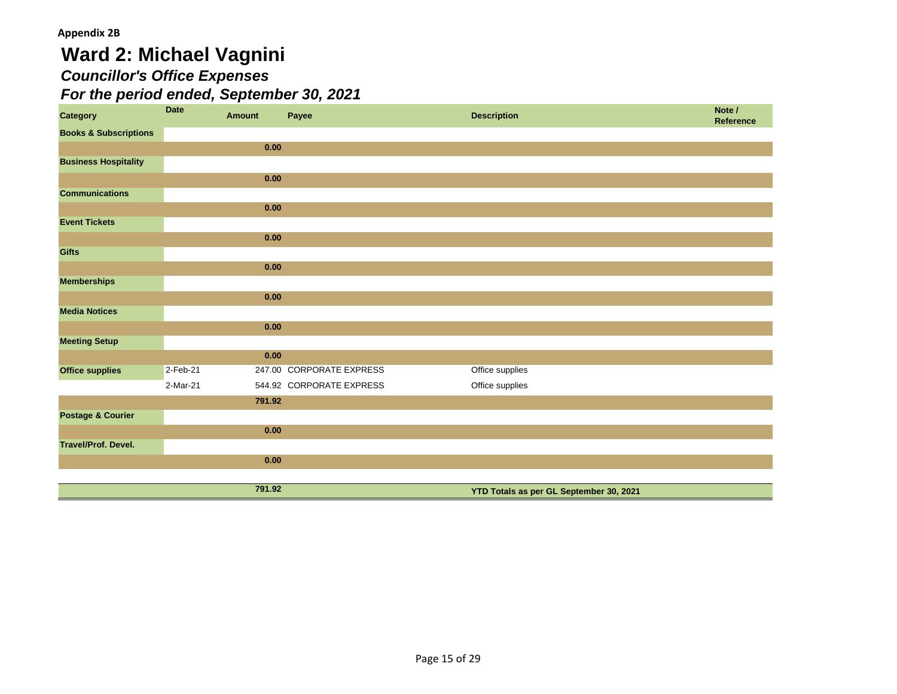# **Ward 2: Michael Vagnini**

# *Councillor's Office Expenses*

| <b>Category</b>                  | <b>Date</b> | <b>Amount</b> | Payee                    | <b>Description</b>                      | Note /<br><b>Reference</b> |
|----------------------------------|-------------|---------------|--------------------------|-----------------------------------------|----------------------------|
| <b>Books &amp; Subscriptions</b> |             |               |                          |                                         |                            |
|                                  |             | 0.00          |                          |                                         |                            |
| <b>Business Hospitality</b>      |             |               |                          |                                         |                            |
|                                  |             | 0.00          |                          |                                         |                            |
| <b>Communications</b>            |             |               |                          |                                         |                            |
|                                  |             | 0.00          |                          |                                         |                            |
| <b>Event Tickets</b>             |             |               |                          |                                         |                            |
|                                  |             | 0.00          |                          |                                         |                            |
| <b>Gifts</b>                     |             |               |                          |                                         |                            |
|                                  |             | 0.00          |                          |                                         |                            |
| <b>Memberships</b>               |             |               |                          |                                         |                            |
|                                  |             | 0.00          |                          |                                         |                            |
| <b>Media Notices</b>             |             |               |                          |                                         |                            |
|                                  |             | 0.00          |                          |                                         |                            |
| <b>Meeting Setup</b>             |             |               |                          |                                         |                            |
|                                  |             | 0.00          |                          |                                         |                            |
| <b>Office supplies</b>           | 2-Feb-21    |               | 247.00 CORPORATE EXPRESS | Office supplies                         |                            |
|                                  | 2-Mar-21    |               | 544.92 CORPORATE EXPRESS | Office supplies                         |                            |
|                                  |             | 791.92        |                          |                                         |                            |
| <b>Postage &amp; Courier</b>     |             |               |                          |                                         |                            |
|                                  |             | 0.00          |                          |                                         |                            |
| Travel/Prof. Devel.              |             |               |                          |                                         |                            |
|                                  |             | 0.00          |                          |                                         |                            |
|                                  |             |               |                          |                                         |                            |
|                                  |             | 791.92        |                          | YTD Totals as per GL September 30, 2021 |                            |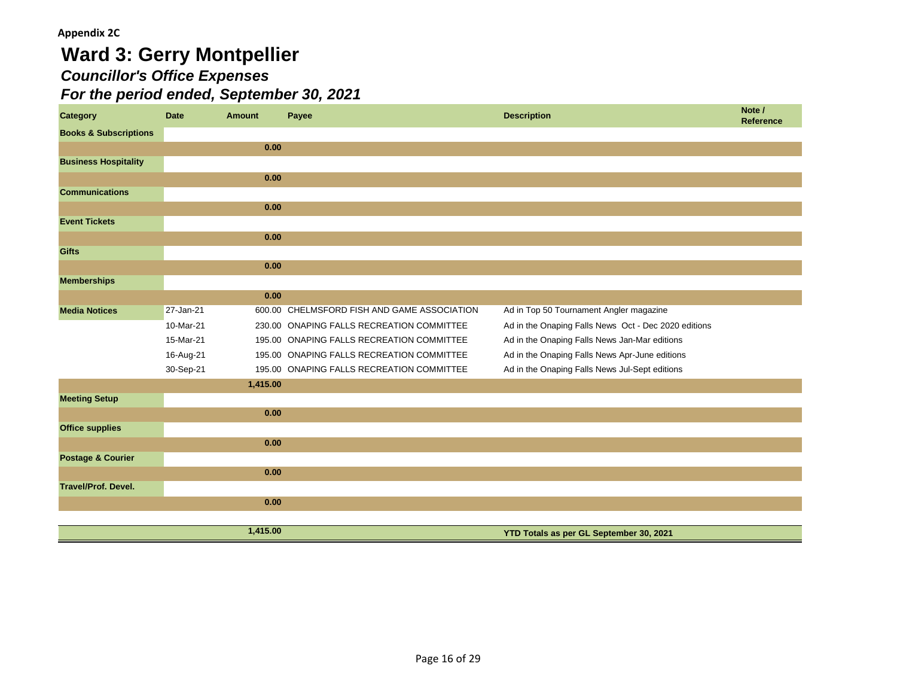# **Ward 3: Gerry Montpellier** *Councillor's Office Expenses*

| <b>Category</b>                  | <b>Date</b> | <b>Amount</b> | Payee                                       | <b>Description</b>                                   | Note /<br>Reference |
|----------------------------------|-------------|---------------|---------------------------------------------|------------------------------------------------------|---------------------|
| <b>Books &amp; Subscriptions</b> |             |               |                                             |                                                      |                     |
|                                  |             | 0.00          |                                             |                                                      |                     |
| <b>Business Hospitality</b>      |             |               |                                             |                                                      |                     |
|                                  |             | 0.00          |                                             |                                                      |                     |
| <b>Communications</b>            |             |               |                                             |                                                      |                     |
|                                  |             | 0.00          |                                             |                                                      |                     |
| <b>Event Tickets</b>             |             |               |                                             |                                                      |                     |
|                                  |             | 0.00          |                                             |                                                      |                     |
| <b>Gifts</b>                     |             |               |                                             |                                                      |                     |
|                                  |             | 0.00          |                                             |                                                      |                     |
| <b>Memberships</b>               |             |               |                                             |                                                      |                     |
|                                  |             | 0.00          |                                             |                                                      |                     |
| <b>Media Notices</b>             | 27-Jan-21   |               | 600.00 CHELMSFORD FISH AND GAME ASSOCIATION | Ad in Top 50 Tournament Angler magazine              |                     |
|                                  | 10-Mar-21   |               | 230.00 ONAPING FALLS RECREATION COMMITTEE   | Ad in the Onaping Falls News Oct - Dec 2020 editions |                     |
|                                  | 15-Mar-21   |               | 195.00 ONAPING FALLS RECREATION COMMITTEE   | Ad in the Onaping Falls News Jan-Mar editions        |                     |
|                                  | 16-Aug-21   |               | 195.00 ONAPING FALLS RECREATION COMMITTEE   | Ad in the Onaping Falls News Apr-June editions       |                     |
|                                  | 30-Sep-21   |               | 195.00 ONAPING FALLS RECREATION COMMITTEE   | Ad in the Onaping Falls News Jul-Sept editions       |                     |
|                                  |             | 1,415.00      |                                             |                                                      |                     |
| <b>Meeting Setup</b>             |             |               |                                             |                                                      |                     |
|                                  |             | 0.00          |                                             |                                                      |                     |
| <b>Office supplies</b>           |             |               |                                             |                                                      |                     |
|                                  |             | 0.00          |                                             |                                                      |                     |
| <b>Postage &amp; Courier</b>     |             |               |                                             |                                                      |                     |
|                                  |             | 0.00          |                                             |                                                      |                     |
| <b>Travel/Prof. Devel.</b>       |             |               |                                             |                                                      |                     |
|                                  |             | 0.00          |                                             |                                                      |                     |
|                                  |             |               |                                             |                                                      |                     |
|                                  |             | 1,415.00      |                                             | YTD Totals as per GL September 30, 2021              |                     |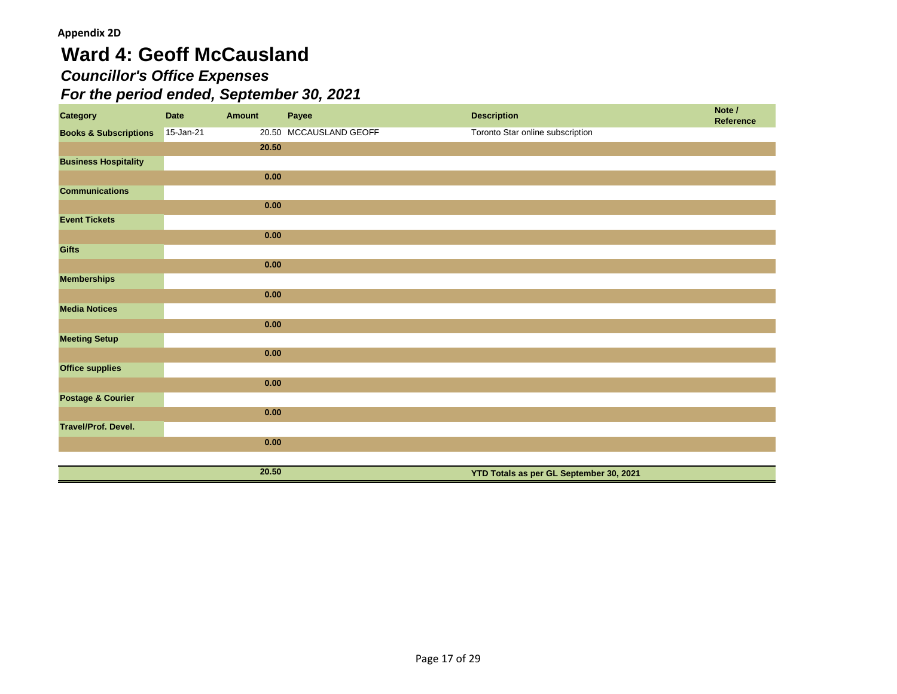# **Ward 4: Geoff McCausland**

## *Councillor's Office Expenses*

| <b>Category</b>                  | <b>Date</b> | <b>Amount</b> | Payee                  | <b>Description</b>                      | Note /<br>Reference |
|----------------------------------|-------------|---------------|------------------------|-----------------------------------------|---------------------|
| <b>Books &amp; Subscriptions</b> | 15-Jan-21   |               | 20.50 MCCAUSLAND GEOFF | Toronto Star online subscription        |                     |
|                                  |             | 20.50         |                        |                                         |                     |
| <b>Business Hospitality</b>      |             |               |                        |                                         |                     |
|                                  |             | 0.00          |                        |                                         |                     |
| <b>Communications</b>            |             |               |                        |                                         |                     |
|                                  |             | 0.00          |                        |                                         |                     |
| <b>Event Tickets</b>             |             |               |                        |                                         |                     |
|                                  |             | 0.00          |                        |                                         |                     |
| <b>Gifts</b>                     |             |               |                        |                                         |                     |
|                                  |             | 0.00          |                        |                                         |                     |
| <b>Memberships</b>               |             |               |                        |                                         |                     |
|                                  |             | 0.00          |                        |                                         |                     |
| <b>Media Notices</b>             |             |               |                        |                                         |                     |
|                                  |             | 0.00          |                        |                                         |                     |
| <b>Meeting Setup</b>             |             |               |                        |                                         |                     |
|                                  |             | 0.00          |                        |                                         |                     |
| <b>Office supplies</b>           |             |               |                        |                                         |                     |
|                                  |             | 0.00          |                        |                                         |                     |
| <b>Postage &amp; Courier</b>     |             |               |                        |                                         |                     |
|                                  |             | 0.00          |                        |                                         |                     |
| Travel/Prof. Devel.              |             |               |                        |                                         |                     |
|                                  |             | 0.00          |                        |                                         |                     |
|                                  |             |               |                        |                                         |                     |
|                                  |             | 20.50         |                        | YTD Totals as per GL September 30, 2021 |                     |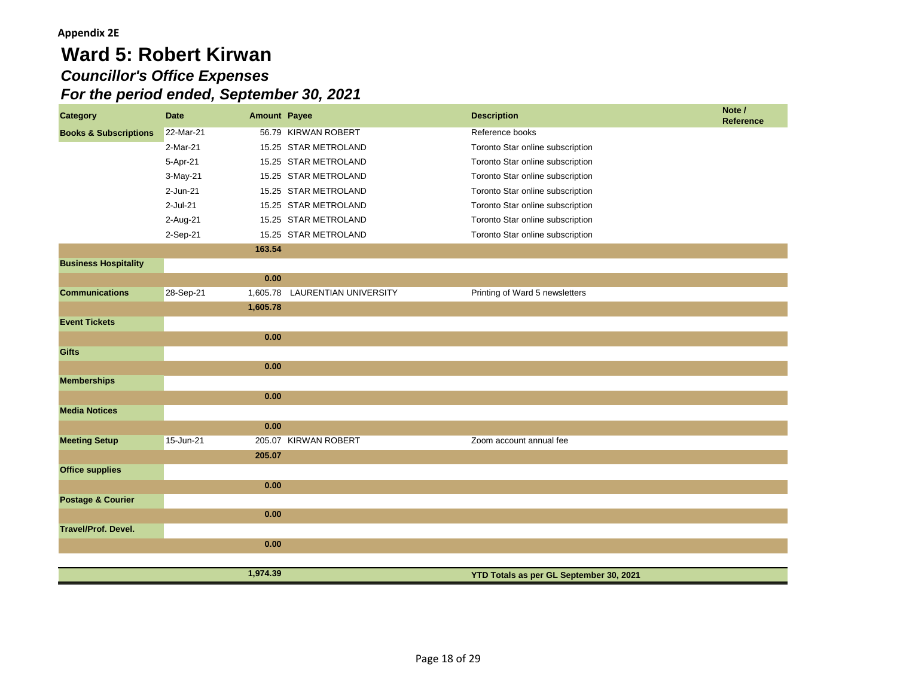# **Ward 5: Robert Kirwan** *Councillor's Office Expenses For the period ended, September 30, 2021*

| <b>Category</b>                  | <b>Date</b> | <b>Amount Payee</b> |                              | <b>Description</b>                      | Note /<br><b>Reference</b> |
|----------------------------------|-------------|---------------------|------------------------------|-----------------------------------------|----------------------------|
| <b>Books &amp; Subscriptions</b> | 22-Mar-21   |                     | 56.79 KIRWAN ROBERT          | Reference books                         |                            |
|                                  | 2-Mar-21    |                     | 15.25 STAR METROLAND         | Toronto Star online subscription        |                            |
|                                  | 5-Apr-21    |                     | 15.25 STAR METROLAND         | Toronto Star online subscription        |                            |
|                                  | 3-May-21    |                     | 15.25 STAR METROLAND         | Toronto Star online subscription        |                            |
|                                  | $2-Jun-21$  |                     | 15.25 STAR METROLAND         | Toronto Star online subscription        |                            |
|                                  | $2$ -Jul-21 |                     | 15.25 STAR METROLAND         | Toronto Star online subscription        |                            |
|                                  | 2-Aug-21    |                     | 15.25 STAR METROLAND         | Toronto Star online subscription        |                            |
|                                  | 2-Sep-21    |                     | 15.25 STAR METROLAND         | Toronto Star online subscription        |                            |
|                                  |             | 163.54              |                              |                                         |                            |
| <b>Business Hospitality</b>      |             |                     |                              |                                         |                            |
|                                  |             | 0.00                |                              |                                         |                            |
| <b>Communications</b>            | 28-Sep-21   | 1,605.78            | <b>LAURENTIAN UNIVERSITY</b> | Printing of Ward 5 newsletters          |                            |
|                                  |             | 1,605.78            |                              |                                         |                            |
| <b>Event Tickets</b>             |             |                     |                              |                                         |                            |
|                                  |             | 0.00                |                              |                                         |                            |
| <b>Gifts</b>                     |             |                     |                              |                                         |                            |
|                                  |             | 0.00                |                              |                                         |                            |
| <b>Memberships</b>               |             |                     |                              |                                         |                            |
|                                  |             | 0.00                |                              |                                         |                            |
| <b>Media Notices</b>             |             |                     |                              |                                         |                            |
|                                  |             | 0.00                |                              |                                         |                            |
| <b>Meeting Setup</b>             | 15-Jun-21   |                     | 205.07 KIRWAN ROBERT         | Zoom account annual fee                 |                            |
|                                  |             | 205.07              |                              |                                         |                            |
| <b>Office supplies</b>           |             |                     |                              |                                         |                            |
|                                  |             | 0.00                |                              |                                         |                            |
| <b>Postage &amp; Courier</b>     |             |                     |                              |                                         |                            |
|                                  |             | 0.00                |                              |                                         |                            |
| <b>Travel/Prof. Devel.</b>       |             |                     |                              |                                         |                            |
|                                  |             | 0.00                |                              |                                         |                            |
|                                  |             |                     |                              |                                         |                            |
|                                  |             | 1,974.39            |                              | YTD Totals as per GL September 30, 2021 |                            |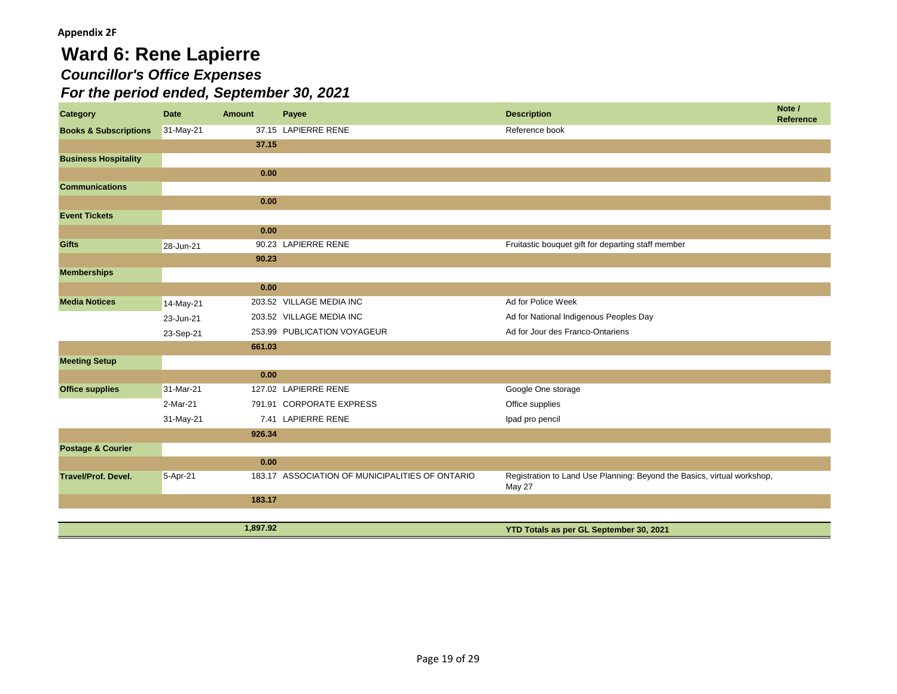## **Ward 6: Rene Lapierre** *Councillor's Office Expenses For the period ended, September 30, 2021*

| <b>Category</b>                  | <b>Date</b> | Amount   | Payee                                           | <b>Description</b>                                                                | Note /<br><b>Reference</b> |
|----------------------------------|-------------|----------|-------------------------------------------------|-----------------------------------------------------------------------------------|----------------------------|
| <b>Books &amp; Subscriptions</b> | 31-May-21   |          | 37.15 LAPIERRE RENE                             | Reference book                                                                    |                            |
|                                  |             | 37.15    |                                                 |                                                                                   |                            |
| <b>Business Hospitality</b>      |             |          |                                                 |                                                                                   |                            |
|                                  |             | 0.00     |                                                 |                                                                                   |                            |
| <b>Communications</b>            |             |          |                                                 |                                                                                   |                            |
|                                  |             | 0.00     |                                                 |                                                                                   |                            |
| <b>Event Tickets</b>             |             |          |                                                 |                                                                                   |                            |
|                                  |             | 0.00     |                                                 |                                                                                   |                            |
| <b>Gifts</b>                     | 28-Jun-21   |          | 90.23 LAPIERRE RENE                             | Fruitastic bouquet gift for departing staff member                                |                            |
|                                  |             | 90.23    |                                                 |                                                                                   |                            |
| <b>Memberships</b>               |             |          |                                                 |                                                                                   |                            |
|                                  |             | 0.00     |                                                 |                                                                                   |                            |
| <b>Media Notices</b>             | 14-May-21   |          | 203.52 VILLAGE MEDIA INC                        | Ad for Police Week                                                                |                            |
|                                  | 23-Jun-21   |          | 203.52 VILLAGE MEDIA INC                        | Ad for National Indigenous Peoples Day                                            |                            |
|                                  | 23-Sep-21   |          | 253.99 PUBLICATION VOYAGEUR                     | Ad for Jour des Franco-Ontariens                                                  |                            |
|                                  |             | 661.03   |                                                 |                                                                                   |                            |
| <b>Meeting Setup</b>             |             |          |                                                 |                                                                                   |                            |
|                                  |             | 0.00     |                                                 |                                                                                   |                            |
| <b>Office supplies</b>           | 31-Mar-21   |          | 127.02 LAPIERRE RENE                            | Google One storage                                                                |                            |
|                                  | 2-Mar-21    |          | 791.91 CORPORATE EXPRESS                        | Office supplies                                                                   |                            |
|                                  | 31-May-21   |          | 7.41 LAPIERRE RENE                              | Ipad pro pencil                                                                   |                            |
|                                  |             | 926.34   |                                                 |                                                                                   |                            |
| <b>Postage &amp; Courier</b>     |             |          |                                                 |                                                                                   |                            |
|                                  |             | 0.00     |                                                 |                                                                                   |                            |
| <b>Travel/Prof. Devel.</b>       | 5-Apr-21    |          | 183.17 ASSOCIATION OF MUNICIPALITIES OF ONTARIO | Registration to Land Use Planning: Beyond the Basics, virtual workshop,<br>May 27 |                            |
|                                  |             | 183.17   |                                                 |                                                                                   |                            |
|                                  |             |          |                                                 |                                                                                   |                            |
|                                  |             | 1,897.92 |                                                 | YTD Totals as per GL September 30, 2021                                           |                            |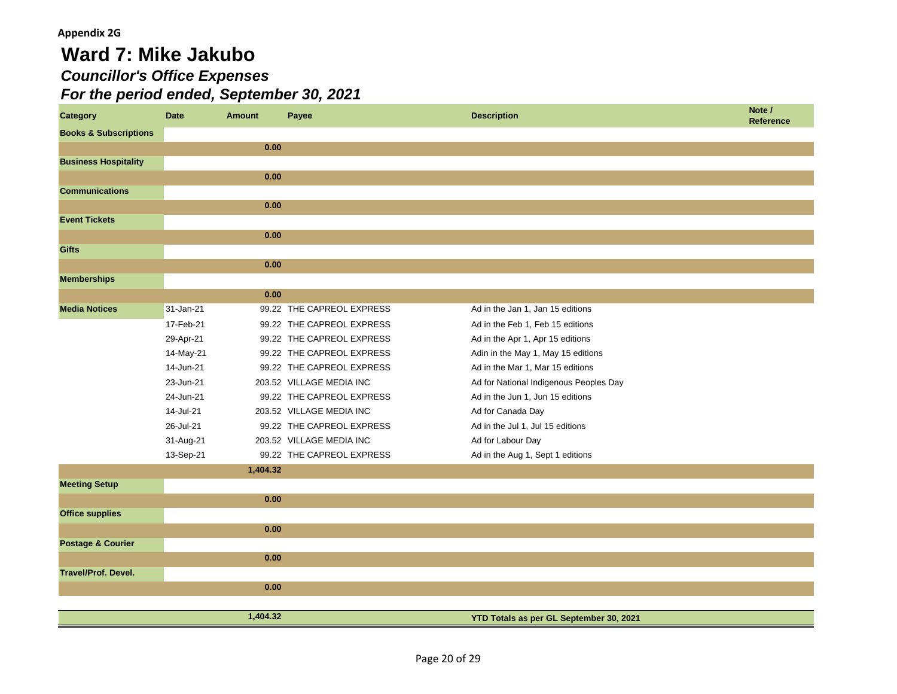# **Ward 7: Mike Jakubo** *Councillor's Office Expenses For the period ended, September 30, 2021*

| <b>Category</b>                  | <b>Date</b> | <b>Amount</b> | Payee                     | <b>Description</b>                      | Note /<br><b>Reference</b> |
|----------------------------------|-------------|---------------|---------------------------|-----------------------------------------|----------------------------|
| <b>Books &amp; Subscriptions</b> |             |               |                           |                                         |                            |
|                                  |             | 0.00          |                           |                                         |                            |
| <b>Business Hospitality</b>      |             |               |                           |                                         |                            |
|                                  |             | 0.00          |                           |                                         |                            |
| <b>Communications</b>            |             |               |                           |                                         |                            |
|                                  |             | 0.00          |                           |                                         |                            |
| <b>Event Tickets</b>             |             |               |                           |                                         |                            |
|                                  |             | 0.00          |                           |                                         |                            |
| <b>Gifts</b>                     |             |               |                           |                                         |                            |
|                                  |             | 0.00          |                           |                                         |                            |
| <b>Memberships</b>               |             |               |                           |                                         |                            |
|                                  |             | 0.00          |                           |                                         |                            |
| <b>Media Notices</b>             | 31-Jan-21   |               | 99.22 THE CAPREOL EXPRESS | Ad in the Jan 1, Jan 15 editions        |                            |
|                                  | 17-Feb-21   |               | 99.22 THE CAPREOL EXPRESS | Ad in the Feb 1, Feb 15 editions        |                            |
|                                  | 29-Apr-21   |               | 99.22 THE CAPREOL EXPRESS | Ad in the Apr 1, Apr 15 editions        |                            |
|                                  | 14-May-21   |               | 99.22 THE CAPREOL EXPRESS | Adin in the May 1, May 15 editions      |                            |
|                                  | 14-Jun-21   |               | 99.22 THE CAPREOL EXPRESS | Ad in the Mar 1, Mar 15 editions        |                            |
|                                  | 23-Jun-21   |               | 203.52 VILLAGE MEDIA INC  | Ad for National Indigenous Peoples Day  |                            |
|                                  | 24-Jun-21   |               | 99.22 THE CAPREOL EXPRESS | Ad in the Jun 1, Jun 15 editions        |                            |
|                                  | 14-Jul-21   |               | 203.52 VILLAGE MEDIA INC  | Ad for Canada Day                       |                            |
|                                  | 26-Jul-21   |               | 99.22 THE CAPREOL EXPRESS | Ad in the Jul 1, Jul 15 editions        |                            |
|                                  | 31-Aug-21   |               | 203.52 VILLAGE MEDIA INC  | Ad for Labour Day                       |                            |
|                                  | 13-Sep-21   |               | 99.22 THE CAPREOL EXPRESS | Ad in the Aug 1, Sept 1 editions        |                            |
|                                  |             | 1,404.32      |                           |                                         |                            |
| <b>Meeting Setup</b>             |             |               |                           |                                         |                            |
|                                  |             | 0.00          |                           |                                         |                            |
| <b>Office supplies</b>           |             |               |                           |                                         |                            |
|                                  |             | 0.00          |                           |                                         |                            |
| <b>Postage &amp; Courier</b>     |             |               |                           |                                         |                            |
|                                  |             | 0.00          |                           |                                         |                            |
| <b>Travel/Prof. Devel.</b>       |             |               |                           |                                         |                            |
|                                  |             | 0.00          |                           |                                         |                            |
|                                  |             |               |                           |                                         |                            |
|                                  |             | 1,404.32      |                           | YTD Totals as per GL September 30, 2021 |                            |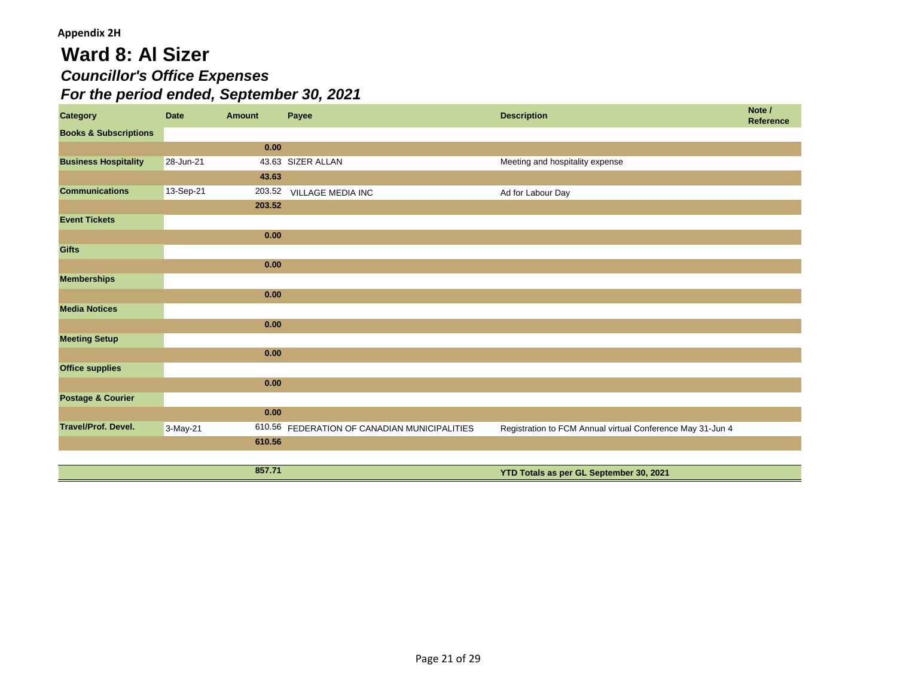# **Ward 8: Al Sizer** *Councillor's Office Expenses For the period ended, September 30, 2021*

| <b>Category</b>                  | <b>Date</b> | <b>Amount</b> | Payee                                        | <b>Description</b>                                         | Note /<br><b>Reference</b> |
|----------------------------------|-------------|---------------|----------------------------------------------|------------------------------------------------------------|----------------------------|
| <b>Books &amp; Subscriptions</b> |             |               |                                              |                                                            |                            |
|                                  |             | 0.00          |                                              |                                                            |                            |
| <b>Business Hospitality</b>      | 28-Jun-21   |               | 43.63 SIZER ALLAN                            | Meeting and hospitality expense                            |                            |
|                                  |             | 43.63         |                                              |                                                            |                            |
| <b>Communications</b>            | 13-Sep-21   |               | 203.52 VILLAGE MEDIA INC                     | Ad for Labour Day                                          |                            |
|                                  |             | 203.52        |                                              |                                                            |                            |
| <b>Event Tickets</b>             |             |               |                                              |                                                            |                            |
|                                  |             | 0.00          |                                              |                                                            |                            |
| <b>Gifts</b>                     |             |               |                                              |                                                            |                            |
|                                  |             | 0.00          |                                              |                                                            |                            |
| <b>Memberships</b>               |             |               |                                              |                                                            |                            |
|                                  |             | 0.00          |                                              |                                                            |                            |
| <b>Media Notices</b>             |             |               |                                              |                                                            |                            |
|                                  |             | 0.00          |                                              |                                                            |                            |
| <b>Meeting Setup</b>             |             |               |                                              |                                                            |                            |
|                                  |             | 0.00          |                                              |                                                            |                            |
| <b>Office supplies</b>           |             |               |                                              |                                                            |                            |
|                                  |             | 0.00          |                                              |                                                            |                            |
| <b>Postage &amp; Courier</b>     |             |               |                                              |                                                            |                            |
|                                  |             | 0.00          |                                              |                                                            |                            |
| <b>Travel/Prof. Devel.</b>       | 3-May-21    |               | 610.56 FEDERATION OF CANADIAN MUNICIPALITIES | Registration to FCM Annual virtual Conference May 31-Jun 4 |                            |
|                                  |             | 610.56        |                                              |                                                            |                            |
|                                  |             |               |                                              |                                                            |                            |
|                                  |             | 857.71        |                                              | YTD Totals as per GL September 30, 2021                    |                            |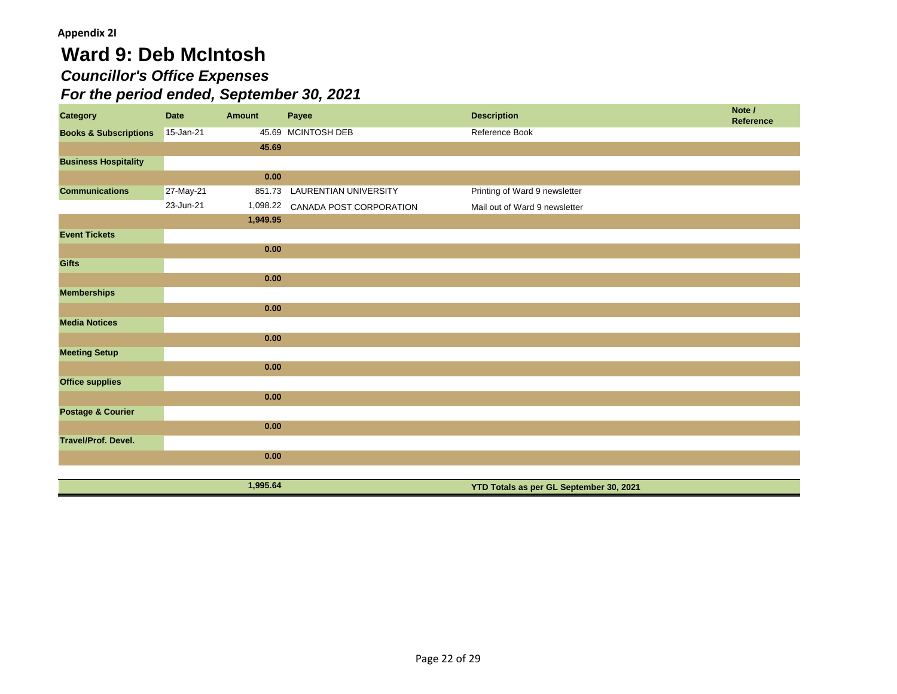# **Ward 9: Deb McIntosh** *Councillor's Office Expenses For the period ended, September 30, 2021*

| <b>Category</b>                  | <b>Date</b> | <b>Amount</b> | Payee                            | <b>Description</b>                      | Note /<br>Reference |
|----------------------------------|-------------|---------------|----------------------------------|-----------------------------------------|---------------------|
| <b>Books &amp; Subscriptions</b> | 15-Jan-21   |               | 45.69 MCINTOSH DEB               | Reference Book                          |                     |
|                                  |             | 45.69         |                                  |                                         |                     |
| <b>Business Hospitality</b>      |             |               |                                  |                                         |                     |
|                                  |             | 0.00          |                                  |                                         |                     |
| <b>Communications</b>            | 27-May-21   |               | 851.73 LAURENTIAN UNIVERSITY     | Printing of Ward 9 newsletter           |                     |
|                                  | 23-Jun-21   |               | 1,098.22 CANADA POST CORPORATION | Mail out of Ward 9 newsletter           |                     |
|                                  |             | 1,949.95      |                                  |                                         |                     |
| <b>Event Tickets</b>             |             |               |                                  |                                         |                     |
|                                  |             | 0.00          |                                  |                                         |                     |
| <b>Gifts</b>                     |             |               |                                  |                                         |                     |
|                                  |             | 0.00          |                                  |                                         |                     |
| <b>Memberships</b>               |             |               |                                  |                                         |                     |
|                                  |             | 0.00          |                                  |                                         |                     |
| <b>Media Notices</b>             |             |               |                                  |                                         |                     |
|                                  |             | 0.00          |                                  |                                         |                     |
| <b>Meeting Setup</b>             |             |               |                                  |                                         |                     |
|                                  |             | 0.00          |                                  |                                         |                     |
| <b>Office supplies</b>           |             |               |                                  |                                         |                     |
|                                  |             | 0.00          |                                  |                                         |                     |
| <b>Postage &amp; Courier</b>     |             |               |                                  |                                         |                     |
|                                  |             | 0.00          |                                  |                                         |                     |
| <b>Travel/Prof. Devel.</b>       |             |               |                                  |                                         |                     |
|                                  |             | 0.00          |                                  |                                         |                     |
|                                  |             |               |                                  |                                         |                     |
|                                  |             | 1,995.64      |                                  | YTD Totals as per GL September 30, 2021 |                     |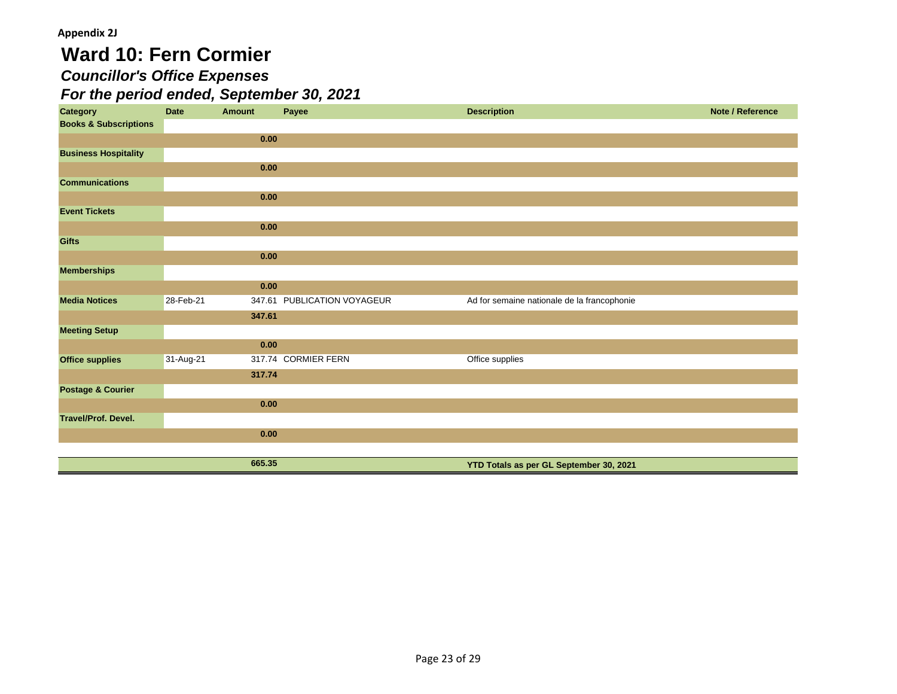# **Ward 10: Fern Cormier**

## *Councillor's Office Expenses*

| <b>Category</b>                  | <b>Date</b> | <b>Amount</b> | Payee                       | <b>Description</b>                          | Note / Reference |
|----------------------------------|-------------|---------------|-----------------------------|---------------------------------------------|------------------|
| <b>Books &amp; Subscriptions</b> |             |               |                             |                                             |                  |
|                                  |             | 0.00          |                             |                                             |                  |
| <b>Business Hospitality</b>      |             |               |                             |                                             |                  |
|                                  |             | 0.00          |                             |                                             |                  |
| <b>Communications</b>            |             |               |                             |                                             |                  |
|                                  |             | 0.00          |                             |                                             |                  |
| <b>Event Tickets</b>             |             |               |                             |                                             |                  |
|                                  |             | 0.00          |                             |                                             |                  |
| <b>Gifts</b>                     |             |               |                             |                                             |                  |
|                                  |             | 0.00          |                             |                                             |                  |
| <b>Memberships</b>               |             |               |                             |                                             |                  |
|                                  |             | 0.00          |                             |                                             |                  |
| <b>Media Notices</b>             | 28-Feb-21   |               | 347.61 PUBLICATION VOYAGEUR | Ad for semaine nationale de la francophonie |                  |
|                                  |             | 347.61        |                             |                                             |                  |
| <b>Meeting Setup</b>             |             |               |                             |                                             |                  |
|                                  |             | 0.00          |                             |                                             |                  |
| <b>Office supplies</b>           | 31-Aug-21   |               | 317.74 CORMIER FERN         | Office supplies                             |                  |
|                                  |             | 317.74        |                             |                                             |                  |
| <b>Postage &amp; Courier</b>     |             |               |                             |                                             |                  |
|                                  |             | 0.00          |                             |                                             |                  |
| <b>Travel/Prof. Devel.</b>       |             |               |                             |                                             |                  |
|                                  |             | 0.00          |                             |                                             |                  |
|                                  |             |               |                             |                                             |                  |
|                                  |             | 665.35        |                             | YTD Totals as per GL September 30, 2021     |                  |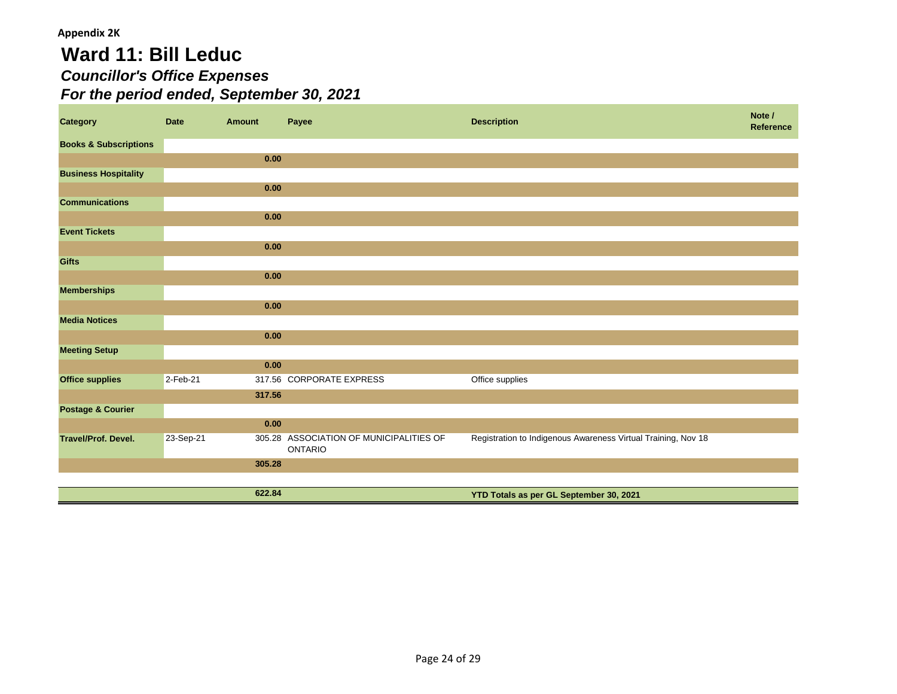# **Ward 11: Bill Leduc** *Councillor's Office Expenses For the period ended, September 30, 2021*

| <b>Category</b>                  | <b>Date</b> | <b>Amount</b> | Payee                                                     | <b>Description</b>                                            | Note /<br>Reference |
|----------------------------------|-------------|---------------|-----------------------------------------------------------|---------------------------------------------------------------|---------------------|
| <b>Books &amp; Subscriptions</b> |             |               |                                                           |                                                               |                     |
|                                  |             | 0.00          |                                                           |                                                               |                     |
| <b>Business Hospitality</b>      |             |               |                                                           |                                                               |                     |
|                                  |             | 0.00          |                                                           |                                                               |                     |
| <b>Communications</b>            |             |               |                                                           |                                                               |                     |
|                                  |             | 0.00          |                                                           |                                                               |                     |
| <b>Event Tickets</b>             |             |               |                                                           |                                                               |                     |
|                                  |             | 0.00          |                                                           |                                                               |                     |
| <b>Gifts</b>                     |             |               |                                                           |                                                               |                     |
|                                  |             | 0.00          |                                                           |                                                               |                     |
| <b>Memberships</b>               |             |               |                                                           |                                                               |                     |
|                                  |             | 0.00          |                                                           |                                                               |                     |
| <b>Media Notices</b>             |             |               |                                                           |                                                               |                     |
|                                  |             | 0.00          |                                                           |                                                               |                     |
| <b>Meeting Setup</b>             |             |               |                                                           |                                                               |                     |
|                                  |             | 0.00          |                                                           |                                                               |                     |
| <b>Office supplies</b>           | 2-Feb-21    |               | 317.56 CORPORATE EXPRESS                                  | Office supplies                                               |                     |
|                                  |             | 317.56        |                                                           |                                                               |                     |
| <b>Postage &amp; Courier</b>     |             |               |                                                           |                                                               |                     |
|                                  |             | 0.00          |                                                           |                                                               |                     |
| <b>Travel/Prof. Devel.</b>       | 23-Sep-21   |               | 305.28 ASSOCIATION OF MUNICIPALITIES OF<br><b>ONTARIO</b> | Registration to Indigenous Awareness Virtual Training, Nov 18 |                     |
|                                  |             | 305.28        |                                                           |                                                               |                     |
|                                  |             |               |                                                           |                                                               |                     |
|                                  |             | 622.84        |                                                           | YTD Totals as per GL September 30, 2021                       |                     |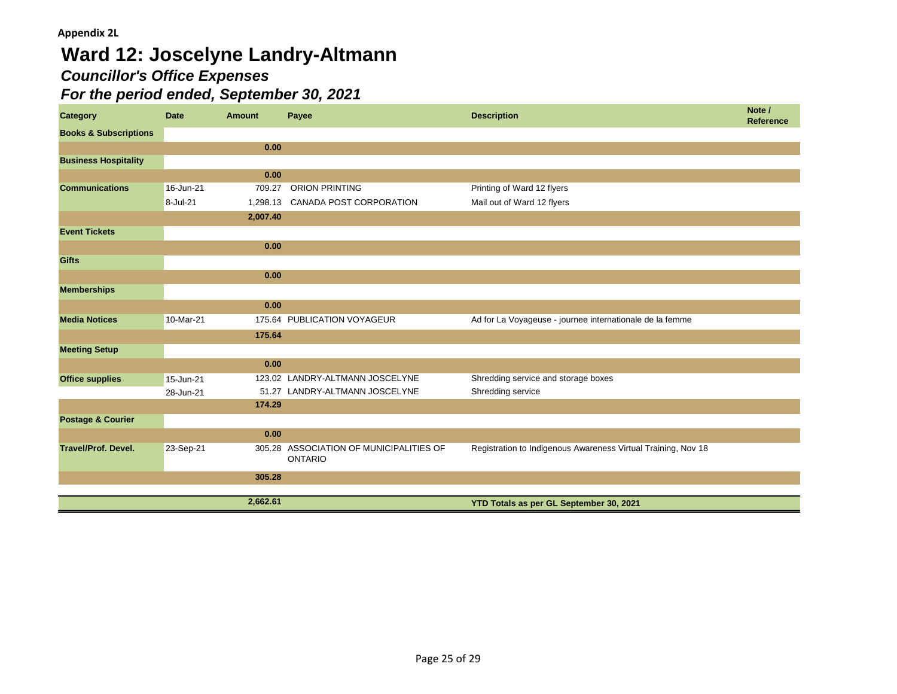# **Ward 12: Joscelyne Landry-Altmann** *Councillor's Office Expenses*

| Category                         | <b>Date</b> | <b>Amount</b> | Payee                                                     | <b>Description</b>                                            | Note /<br>Reference |
|----------------------------------|-------------|---------------|-----------------------------------------------------------|---------------------------------------------------------------|---------------------|
| <b>Books &amp; Subscriptions</b> |             |               |                                                           |                                                               |                     |
|                                  |             | 0.00          |                                                           |                                                               |                     |
| <b>Business Hospitality</b>      |             |               |                                                           |                                                               |                     |
|                                  |             | 0.00          |                                                           |                                                               |                     |
| <b>Communications</b>            | 16-Jun-21   | 709.27        | <b>ORION PRINTING</b>                                     | Printing of Ward 12 flyers                                    |                     |
|                                  | 8-Jul-21    | 1,298.13      | CANADA POST CORPORATION                                   | Mail out of Ward 12 flyers                                    |                     |
|                                  |             | 2,007.40      |                                                           |                                                               |                     |
| <b>Event Tickets</b>             |             |               |                                                           |                                                               |                     |
|                                  |             | 0.00          |                                                           |                                                               |                     |
| <b>Gifts</b>                     |             |               |                                                           |                                                               |                     |
|                                  |             | 0.00          |                                                           |                                                               |                     |
| <b>Memberships</b>               |             |               |                                                           |                                                               |                     |
|                                  |             | 0.00          |                                                           |                                                               |                     |
| <b>Media Notices</b>             | 10-Mar-21   |               | 175.64 PUBLICATION VOYAGEUR                               | Ad for La Voyageuse - journee internationale de la femme      |                     |
|                                  |             | 175.64        |                                                           |                                                               |                     |
| <b>Meeting Setup</b>             |             |               |                                                           |                                                               |                     |
|                                  |             | 0.00          |                                                           |                                                               |                     |
| <b>Office supplies</b>           | 15-Jun-21   |               | 123.02 LANDRY-ALTMANN JOSCELYNE                           | Shredding service and storage boxes                           |                     |
|                                  | 28-Jun-21   |               | 51.27 LANDRY-ALTMANN JOSCELYNE                            | Shredding service                                             |                     |
|                                  |             | 174.29        |                                                           |                                                               |                     |
| <b>Postage &amp; Courier</b>     |             |               |                                                           |                                                               |                     |
|                                  |             | 0.00          |                                                           |                                                               |                     |
| <b>Travel/Prof. Devel.</b>       | 23-Sep-21   |               | 305.28 ASSOCIATION OF MUNICIPALITIES OF<br><b>ONTARIO</b> | Registration to Indigenous Awareness Virtual Training, Nov 18 |                     |
|                                  |             | 305.28        |                                                           |                                                               |                     |
|                                  |             |               |                                                           |                                                               |                     |
|                                  |             | 2,662.61      |                                                           | YTD Totals as per GL September 30, 2021                       |                     |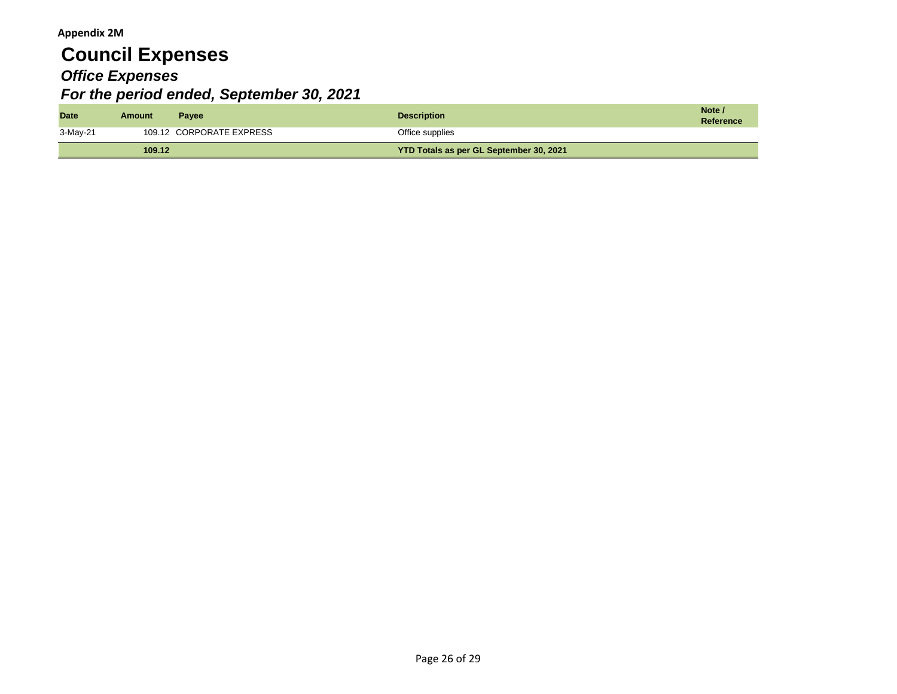# **Council Expenses** *Office Expenses For the period ended, September 30, 2021*

| <b>Date</b> | Amount | <b>Pavee</b>             | <b>Description</b>                      | Note<br>Reference |
|-------------|--------|--------------------------|-----------------------------------------|-------------------|
| 3-May-21    |        | 109.12 CORPORATE EXPRESS | Office supplies                         |                   |
|             | 109.12 |                          | YTD Totals as per GL September 30, 2021 |                   |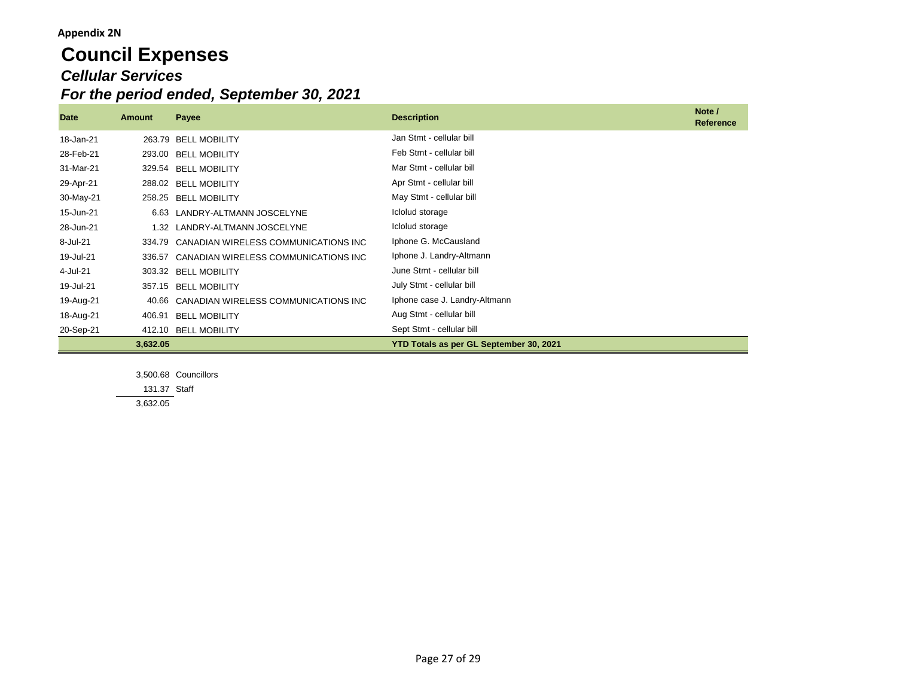#### **Appendix 2N**

# **Council Expenses** *Cellular Services For the period ended, September 30, 2021*

| <b>Date</b> | Amount   | Payee                                | <b>Description</b>                      | Note /<br><b>Reference</b> |
|-------------|----------|--------------------------------------|-----------------------------------------|----------------------------|
| 18-Jan-21   | 263.79   | <b>BELL MOBILITY</b>                 | Jan Stmt - cellular bill                |                            |
| 28-Feb-21   | 293.00   | <b>BELL MOBILITY</b>                 | Feb Stmt - cellular bill                |                            |
| 31-Mar-21   | 329.54   | <b>BELL MOBILITY</b>                 | Mar Stmt - cellular bill                |                            |
| 29-Apr-21   |          | 288.02 BELL MOBILITY                 | Apr Stmt - cellular bill                |                            |
| 30-May-21   | 258.25   | <b>BELL MOBILITY</b>                 | May Stmt - cellular bill                |                            |
| 15-Jun-21   |          | 6.63 LANDRY-ALTMANN JOSCELYNE        | Iclolud storage                         |                            |
| 28-Jun-21   |          | 1.32 LANDRY-ALTMANN JOSCELYNE        | Iclolud storage                         |                            |
| 8-Jul-21    | 334.79   | CANADIAN WIRELESS COMMUNICATIONS INC | Iphone G. McCausland                    |                            |
| 19-Jul-21   | 336.57   | CANADIAN WIRELESS COMMUNICATIONS INC | Iphone J. Landry-Altmann                |                            |
| 4-Jul-21    |          | 303.32 BELL MOBILITY                 | June Stmt - cellular bill               |                            |
| 19-Jul-21   | 357.15   | <b>BELL MOBILITY</b>                 | July Stmt - cellular bill               |                            |
| 19-Aug-21   | 40.66    | CANADIAN WIRELESS COMMUNICATIONS INC | Iphone case J. Landry-Altmann           |                            |
| 18-Aug-21   | 406.91   | <b>BELL MOBILITY</b>                 | Aug Stmt - cellular bill                |                            |
| 20-Sep-21   |          | 412.10 BELL MOBILITY                 | Sept Stmt - cellular bill               |                            |
|             | 3,632.05 |                                      | YTD Totals as per GL September 30, 2021 |                            |

3,500.68 Councillors 131.37 Staff

3,632.05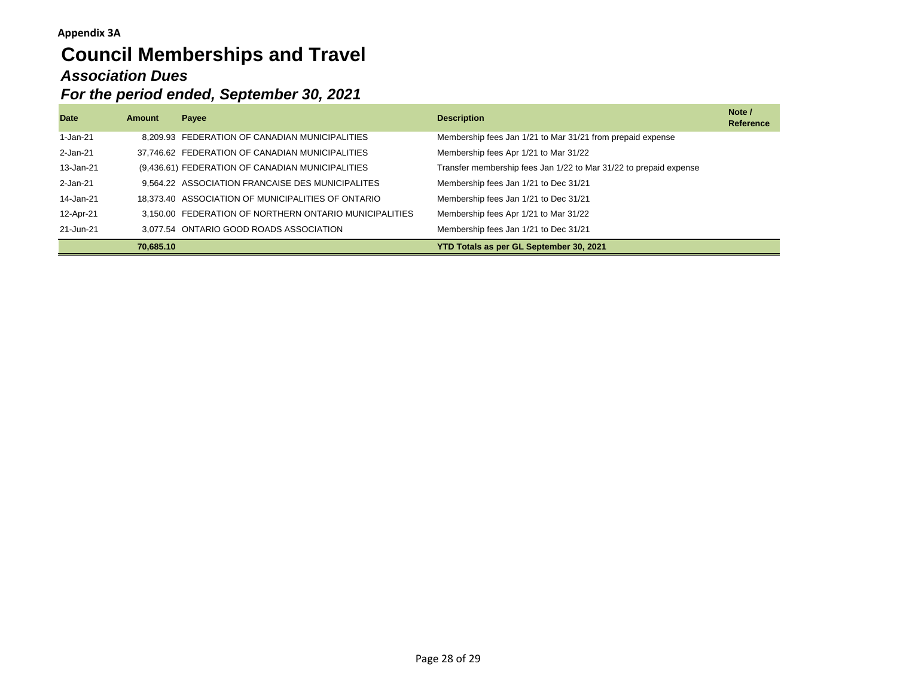# **Council Memberships and Travel** *Association Dues For the period ended, September 30, 2021*

| <b>Date</b> | Amount    | Payee                                                  | <b>Description</b>                                                | Note /<br><b>Reference</b> |
|-------------|-----------|--------------------------------------------------------|-------------------------------------------------------------------|----------------------------|
| 1-Jan-21    |           | 8.209.93 FEDERATION OF CANADIAN MUNICIPALITIES         | Membership fees Jan 1/21 to Mar 31/21 from prepaid expense        |                            |
| 2-Jan-21    |           | 37,746.62 FEDERATION OF CANADIAN MUNICIPALITIES        | Membership fees Apr 1/21 to Mar 31/22                             |                            |
| 13-Jan-21   |           | (9,436.61) FEDERATION OF CANADIAN MUNICIPALITIES       | Transfer membership fees Jan 1/22 to Mar 31/22 to prepaid expense |                            |
| 2-Jan-21    |           | 9,564.22 ASSOCIATION FRANCAISE DES MUNICIPALITES       | Membership fees Jan 1/21 to Dec 31/21                             |                            |
| 14-Jan-21   |           | 18.373.40 ASSOCIATION OF MUNICIPALITIES OF ONTARIO     | Membership fees Jan 1/21 to Dec 31/21                             |                            |
| 12-Apr-21   |           | 3.150.00 FEDERATION OF NORTHERN ONTARIO MUNICIPALITIES | Membership fees Apr 1/21 to Mar 31/22                             |                            |
| 21-Jun-21   |           | 3,077.54 ONTARIO GOOD ROADS ASSOCIATION                | Membership fees Jan 1/21 to Dec 31/21                             |                            |
|             | 70.685.10 |                                                        | YTD Totals as per GL September 30, 2021                           |                            |